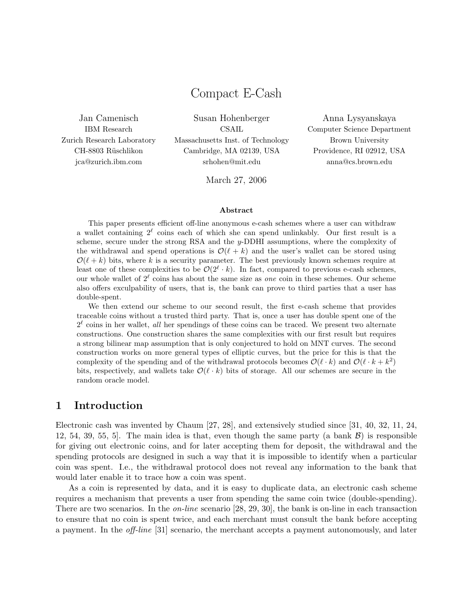# Compact E-Cash

Jan Camenisch IBM Research Zurich Research Laboratory CH-8803 Rüschlikon jca@zurich.ibm.com

Susan Hohenberger CSAIL Massachusetts Inst. of Technology Cambridge, MA 02139, USA srhohen@mit.edu

Anna Lysyanskaya Computer Science Department Brown University Providence, RI 02912, USA anna@cs.brown.edu

March 27, 2006

#### Abstract

This paper presents efficient off-line anonymous e-cash schemes where a user can withdraw a wallet containing  $2^{\ell}$  coins each of which she can spend unlinkably. Our first result is a scheme, secure under the strong RSA and the y-DDHI assumptions, where the complexity of the withdrawal and spend operations is  $\mathcal{O}(\ell + k)$  and the user's wallet can be stored using  $\mathcal{O}(\ell + k)$  bits, where k is a security parameter. The best previously known schemes require at least one of these complexities to be  $\mathcal{O}(2^{\ell} \cdot k)$ . In fact, compared to previous e-cash schemes, our whole wallet of  $2^{\ell}$  coins has about the same size as *one* coin in these schemes. Our scheme also offers exculpability of users, that is, the bank can prove to third parties that a user has double-spent.

We then extend our scheme to our second result, the first e-cash scheme that provides traceable coins without a trusted third party. That is, once a user has double spent one of the  $2^{\ell}$  coins in her wallet, all her spendings of these coins can be traced. We present two alternate constructions. One construction shares the same complexities with our first result but requires a strong bilinear map assumption that is only conjectured to hold on MNT curves. The second construction works on more general types of elliptic curves, but the price for this is that the complexity of the spending and of the withdrawal protocols becomes  $\mathcal{O}(\ell \cdot k)$  and  $\mathcal{O}(\ell \cdot k + k^2)$ bits, respectively, and wallets take  $\mathcal{O}(\ell \cdot k)$  bits of storage. All our schemes are secure in the random oracle model.

## 1 Introduction

Electronic cash was invented by Chaum [27, 28], and extensively studied since [31, 40, 32, 11, 24, 12, 54, 39, 55, 5. The main idea is that, even though the same party (a bank  $\mathcal{B}$ ) is responsible for giving out electronic coins, and for later accepting them for deposit, the withdrawal and the spending protocols are designed in such a way that it is impossible to identify when a particular coin was spent. I.e., the withdrawal protocol does not reveal any information to the bank that would later enable it to trace how a coin was spent.

As a coin is represented by data, and it is easy to duplicate data, an electronic cash scheme requires a mechanism that prevents a user from spending the same coin twice (double-spending). There are two scenarios. In the *on-line* scenario [28, 29, 30], the bank is on-line in each transaction to ensure that no coin is spent twice, and each merchant must consult the bank before accepting a payment. In the off-line [31] scenario, the merchant accepts a payment autonomously, and later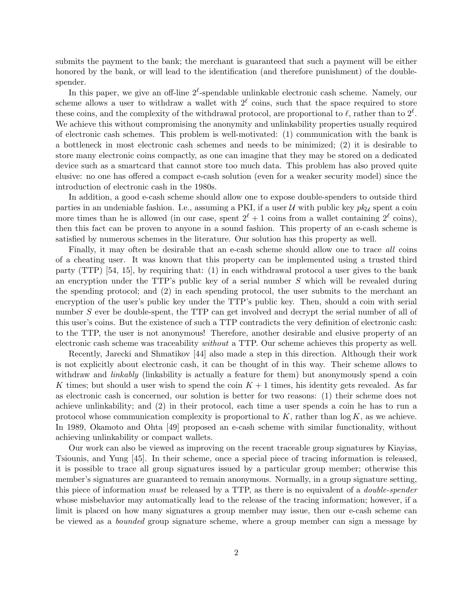submits the payment to the bank; the merchant is guaranteed that such a payment will be either honored by the bank, or will lead to the identification (and therefore punishment) of the doublespender.

In this paper, we give an off-line  $2^{\ell}$ -spendable unlinkable electronic cash scheme. Namely, our scheme allows a user to withdraw a wallet with  $2^{\ell}$  coins, such that the space required to store these coins, and the complexity of the withdrawal protocol, are proportional to  $\ell$ , rather than to  $2^{\ell}$ . We achieve this without compromising the anonymity and unlinkability properties usually required of electronic cash schemes. This problem is well-motivated: (1) communication with the bank is a bottleneck in most electronic cash schemes and needs to be minimized; (2) it is desirable to store many electronic coins compactly, as one can imagine that they may be stored on a dedicated device such as a smartcard that cannot store too much data. This problem has also proved quite elusive: no one has offered a compact e-cash solution (even for a weaker security model) since the introduction of electronic cash in the 1980s.

In addition, a good e-cash scheme should allow one to expose double-spenders to outside third parties in an undeniable fashion. I.e., assuming a PKI, if a user  $U$  with public key  $pk_{U}$  spent a coin more times than he is allowed (in our case, spent  $2^{\ell} + 1$  coins from a wallet containing  $2^{\ell}$  coins), then this fact can be proven to anyone in a sound fashion. This property of an e-cash scheme is satisfied by numerous schemes in the literature. Our solution has this property as well.

Finally, it may often be desirable that an e-cash scheme should allow one to trace all coins of a cheating user. It was known that this property can be implemented using a trusted third party (TTP) [54, 15], by requiring that: (1) in each withdrawal protocol a user gives to the bank an encryption under the TTP's public key of a serial number  $S$  which will be revealed during the spending protocol; and (2) in each spending protocol, the user submits to the merchant an encryption of the user's public key under the TTP's public key. Then, should a coin with serial number S ever be double-spent, the TTP can get involved and decrypt the serial number of all of this user's coins. But the existence of such a TTP contradicts the very definition of electronic cash: to the TTP, the user is not anonymous! Therefore, another desirable and elusive property of an electronic cash scheme was traceability without a TTP. Our scheme achieves this property as well.

Recently, Jarecki and Shmatikov [44] also made a step in this direction. Although their work is not explicitly about electronic cash, it can be thought of in this way. Their scheme allows to withdraw and *linkably* (linkability is actually a feature for them) but anonymously spend a coin K times; but should a user wish to spend the coin  $K + 1$  times, his identity gets revealed. As far as electronic cash is concerned, our solution is better for two reasons: (1) their scheme does not achieve unlinkability; and (2) in their protocol, each time a user spends a coin he has to run a protocol whose communication complexity is proportional to  $K$ , rather than  $\log K$ , as we achieve. In 1989, Okamoto and Ohta [49] proposed an e-cash scheme with similar functionality, without achieving unlinkability or compact wallets.

Our work can also be viewed as improving on the recent traceable group signatures by Kiayias, Tsiounis, and Yung [45]. In their scheme, once a special piece of tracing information is released, it is possible to trace all group signatures issued by a particular group member; otherwise this member's signatures are guaranteed to remain anonymous. Normally, in a group signature setting, this piece of information must be released by a TTP, as there is no equivalent of a double-spender whose misbehavior may automatically lead to the release of the tracing information; however, if a limit is placed on how many signatures a group member may issue, then our e-cash scheme can be viewed as a bounded group signature scheme, where a group member can sign a message by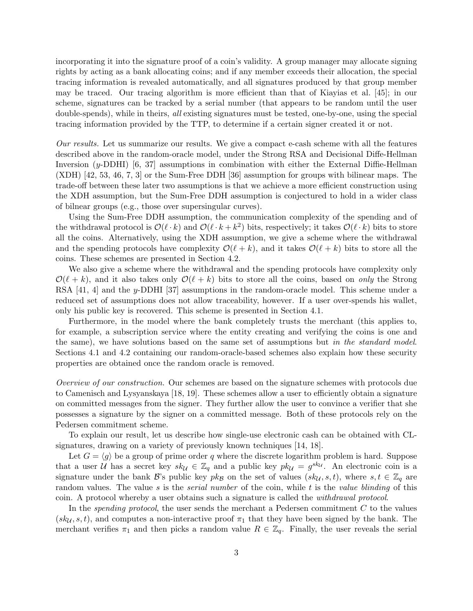incorporating it into the signature proof of a coin's validity. A group manager may allocate signing rights by acting as a bank allocating coins; and if any member exceeds their allocation, the special tracing information is revealed automatically, and all signatures produced by that group member may be traced. Our tracing algorithm is more efficient than that of Kiayias et al. [45]; in our scheme, signatures can be tracked by a serial number (that appears to be random until the user double-spends), while in theirs, all existing signatures must be tested, one-by-one, using the special tracing information provided by the TTP, to determine if a certain signer created it or not.

Our results. Let us summarize our results. We give a compact e-cash scheme with all the features described above in the random-oracle model, under the Strong RSA and Decisional Diffe-Hellman Inversion  $(y\text{-}DDHI)$  [6, 37] assumptions in combination with either the External Diffie-Hellman (XDH) [42, 53, 46, 7, 3] or the Sum-Free DDH [36] assumption for groups with bilinear maps. The trade-off between these later two assumptions is that we achieve a more efficient construction using the XDH assumption, but the Sum-Free DDH assumption is conjectured to hold in a wider class of bilnear groups (e.g., those over supersingular curves).

Using the Sum-Free DDH assumption, the communication complexity of the spending and of the withdrawal protocol is  $\mathcal{O}(\ell \cdot k)$  and  $\mathcal{O}(\ell \cdot k + k^2)$  bits, respectively; it takes  $\mathcal{O}(\ell \cdot k)$  bits to store all the coins. Alternatively, using the XDH assumption, we give a scheme where the withdrawal and the spending protocols have complexity  $\mathcal{O}(\ell + k)$ , and it takes  $\mathcal{O}(\ell + k)$  bits to store all the coins. These schemes are presented in Section 4.2.

We also give a scheme where the withdrawal and the spending protocols have complexity only  $\mathcal{O}(\ell + k)$ , and it also takes only  $\mathcal{O}(\ell + k)$  bits to store all the coins, based on only the Strong RSA [41, 4] and the y-DDHI [37] assumptions in the random-oracle model. This scheme under a reduced set of assumptions does not allow traceability, however. If a user over-spends his wallet, only his public key is recovered. This scheme is presented in Section 4.1.

Furthermore, in the model where the bank completely trusts the merchant (this applies to, for example, a subscription service where the entity creating and verifying the coins is one and the same), we have solutions based on the same set of assumptions but in the standard model. Sections 4.1 and 4.2 containing our random-oracle-based schemes also explain how these security properties are obtained once the random oracle is removed.

Overview of our construction. Our schemes are based on the signature schemes with protocols due to Camenisch and Lysyanskaya [18, 19]. These schemes allow a user to efficiently obtain a signature on committed messages from the signer. They further allow the user to convince a verifier that she possesses a signature by the signer on a committed message. Both of these protocols rely on the Pedersen commitment scheme.

To explain our result, let us describe how single-use electronic cash can be obtained with CLsignatures, drawing on a variety of previously known techniques [14, 18].

Let  $G = \langle g \rangle$  be a group of prime order q where the discrete logarithm problem is hard. Suppose that a user U has a secret key  $sk_{\mathcal{U}} \in \mathbb{Z}_q$  and a public key  $pk_{\mathcal{U}} = g^{sk_{\mathcal{U}}}$ . An electronic coin is a signature under the bank B's public key  $pk_B$  on the set of values  $(sk_{\mathcal{U}}, s, t)$ , where  $s, t \in \mathbb{Z}_q$  are random values. The value s is the serial number of the coin, while t is the value blinding of this coin. A protocol whereby a user obtains such a signature is called the withdrawal protocol.

In the *spending protocol*, the user sends the merchant a Pedersen commitment  $C$  to the values  $(s_{\mathcal{U}}, s, t)$ , and computes a non-interactive proof  $\pi_1$  that they have been signed by the bank. The merchant verifies  $\pi_1$  and then picks a random value  $R \in \mathbb{Z}_q$ . Finally, the user reveals the serial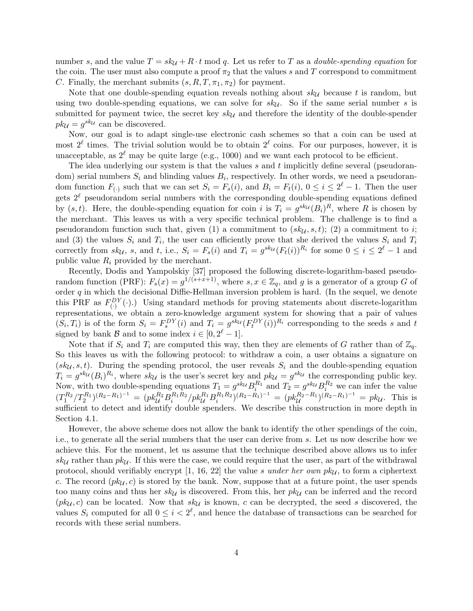number s, and the value  $T = sk_{\mathcal{U}} + R \cdot t \mod q$ . Let us refer to T as a *double-spending equation* for the coin. The user must also compute a proof  $\pi_2$  that the values s and T correspond to commitment C. Finally, the merchant submits  $(s, R, T, \pi_1, \pi_2)$  for payment.

Note that one double-spending equation reveals nothing about  $sk_{\mathcal{U}}$  because t is random, but using two double-spending equations, we can solve for  $sku$ . So if the same serial number s is submitted for payment twice, the secret key  $sk_{\mathcal{U}}$  and therefore the identity of the double-spender  $pk_{\mathcal{U}} = g^{sk_{\mathcal{U}}}$  can be discovered.

Now, our goal is to adapt single-use electronic cash schemes so that a coin can be used at most  $2^{\ell}$  times. The trivial solution would be to obtain  $2^{\ell}$  coins. For our purposes, however, it is unacceptable, as  $2^{\ell}$  may be quite large (e.g., 1000) and we want each protocol to be efficient.

The idea underlying our system is that the values  $s$  and  $t$  implicitly define several (pseudorandom) serial numbers  $S_i$  and blinding values  $B_i$ , respectively. In other words, we need a pseudorandom function  $F_{(\cdot)}$  such that we can set  $S_i = F_s(i)$ , and  $B_i = F_t(i)$ ,  $0 \le i \le 2^{\ell} - 1$ . Then the user gets  $2^{\ell}$  pseudorandom serial numbers with the corresponding double-spending equations defined by  $(s, t)$ . Here, the double-spending equation for coin i is  $T_i = g^{sku}(B_i)^R$ , where R is chosen by the merchant. This leaves us with a very specific technical problem. The challenge is to find a pseudorandom function such that, given (1) a commitment to  $(sk_{\mathcal{U}}, s, t)$ ; (2) a commitment to i; and (3) the values  $S_i$  and  $T_i$ , the user can efficiently prove that she derived the values  $S_i$  and  $T_i$ correctly from  $sk_{\mathcal{U}}$ , s, and t, i.e.,  $S_i = F_s(i)$  and  $T_i = g^{sk_{\mathcal{U}}}(F_t(i))^{R_i}$  for some  $0 \leq i \leq 2^{\ell} - 1$  and public value  $R_i$  provided by the merchant.

Recently, Dodis and Yampolskiy [37] proposed the following discrete-logarithm-based pseudorandom function (PRF):  $F_s(x) = g^{1/(s+x+1)}$ , where  $s, x \in \mathbb{Z}_q$ , and g is a generator of a group G of order  $q$  in which the decisional Diffie-Hellman inversion problem is hard. (In the sequel, we denote this PRF as  $F_{(.)}^{DY}(.)$ .) Using standard methods for proving statements about discrete-logarithm representations, we obtain a zero-knowledge argument system for showing that a pair of values  $(S_i, T_i)$  is of the form  $S_i = F_s^{DY}(i)$  and  $T_i = g^{sku}(F_t^{DY}(i))^{R_i}$  corresponding to the seeds s and t signed by bank  $\mathcal{B}$  and to some index  $i \in [0, 2^{\ell} - 1]$ .

Note that if  $S_i$  and  $T_i$  are computed this way, then they are elements of G rather than of  $\mathbb{Z}_q$ . So this leaves us with the following protocol: to withdraw a coin, a user obtains a signature on  $(s_{k_{\mathcal{U}},s,t)$ . During the spending protocol, the user reveals  $S_i$  and the double-spending equation  $T_i = g^{sku}(B_i)^{R_i}$ , where  $sku$  is the user's secret key and  $pku = g^{sku}$  the corresponding public key. Now, with two double-spending equations  $T_1 = g^{sku} B_i^{R_1}$  and  $T_2 = g^{sku} B_i^{R_2}$  we can infer the value  $(T_1^{R_2}/T_2^{R_1})^{(R_2-R_1)-1} = (pk_{\mathcal{U}}^{R_2}B_i^{R_1R_2}/pk_{\mathcal{U}}^{R_1}B_i^{R_1R_2})^{(R_2-R_1)-1} = (pk_{\mathcal{U}}^{R_2-R_1})^{(R_2-R_1)-1} = pk_{\mathcal{U}}.$  This is sufficient to detect and identify double spenders. We describe this construction in more depth in Section 4.1.

However, the above scheme does not allow the bank to identify the other spendings of the coin, i.e., to generate all the serial numbers that the user can derive from s. Let us now describe how we achieve this. For the moment, let us assume that the technique described above allows us to infer  $sk_{\mathcal{U}}$  rather than  $pk_{\mathcal{U}}$ . If this were the case, we could require that the user, as part of the withdrawal protocol, should verifiably encrypt [1, 16, 22] the value s under her own  $pk_{\mathcal{U}}$ , to form a ciphertext c. The record  $(pk_{\mathcal{U}}, c)$  is stored by the bank. Now, suppose that at a future point, the user spends too many coins and thus her  $sk_{\mathcal{U}}$  is discovered. From this, her  $pk_{\mathcal{U}}$  can be inferred and the record  $(pk_{\mathcal{U}}, c)$  can be located. Now that  $sk_{\mathcal{U}}$  is known, c can be decrypted, the seed s discovered, the values  $S_i$  computed for all  $0 \leq i < 2^{\ell}$ , and hence the database of transactions can be searched for records with these serial numbers.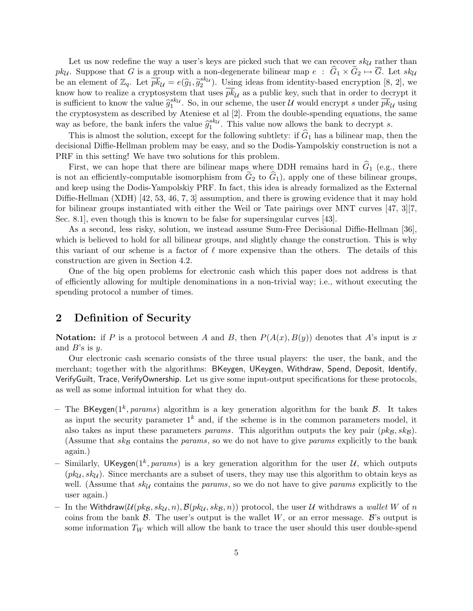Let us now redefine the way a user's keys are picked such that we can recover  $sk_{\mathcal{U}}$  rather than pku. Suppose that G is a group with a non-degenerate bilinear map  $e : \hat{G}_1 \times \tilde{G}_2 \mapsto \overline{G}$ . Let  $sk_{\mathcal{U}}$ be an element of  $\mathbb{Z}_q$ . Let  $\overline{pk}_\mathcal{U} = e(\widehat{g}_1, \widetilde{g}_2^{sk}\mathcal{U})$ . Using ideas from identity-based encryption [8, 2], we<br>linew how to realize a expression that we realize as a public list such that in order to degr know how to realize a cryptosystem that uses  $\overline{pk}_{\mathcal{U}}$  as a public key, such that in order to decrypt it is sufficient to know the value  $\hat{g}_1^{sk}\nu$ . So, in our scheme, the user U would encrypt s under  $\overline{pk}_U$  using<br>the exyptention as described by Atopiese at al. [2]. From the double apending equations, the same the cryptosystem as described by Ateniese et al [2]. From the double-spending equations, the same way as before, the bank infers the value  $\hat{g}_1^{sk}u$ . This value now allows the bank to decrypt s.<br>This is close the calities are not for the following which is  $\hat{G}$  because we are the

This is almost the solution, except for the following subtlety: if  $\tilde{G}_1$  has a bilinear map, then the decisional Diffie-Hellman problem may be easy, and so the Dodis-Yampolskiy construction is not a PRF in this setting! We have two solutions for this problem.

First, we can hope that there are bilinear maps where DDH remains hard in  $\hat{G}_1$  (e.g., there is not an efficiently-computable isomorphism from  $\tilde{G}_2$  to  $\hat{G}_1$ ), apply one of these bilinear groups, and keep using the Dodis-Yampolskiy PRF. In fact, this idea is already formalized as the External Diffie-Hellman (XDH) [42, 53, 46, 7, 3] assumption, and there is growing evidence that it may hold for bilinear groups instantiated with either the Weil or Tate pairings over MNT curves [47, 3][7, Sec. 8.1], even though this is known to be false for supersingular curves [43].

As a second, less risky, solution, we instead assume Sum-Free Decisional Diffie-Hellman [36], which is believed to hold for all bilinear groups, and slightly change the construction. This is why this variant of our scheme is a factor of  $\ell$  more expensive than the others. The details of this construction are given in Section 4.2.

One of the big open problems for electronic cash which this paper does not address is that of efficiently allowing for multiple denominations in a non-trivial way; i.e., without executing the spending protocol a number of times.

# 2 Definition of Security

**Notation:** if P is a protocol between A and B, then  $P(A(x), B(y))$  denotes that A's input is x and  $B$ 's is  $y$ .

Our electronic cash scenario consists of the three usual players: the user, the bank, and the merchant; together with the algorithms: BKeygen, UKeygen, Withdraw, Spend, Deposit, Identify, VerifyGuilt, Trace, VerifyOwnership. Let us give some input-output specifications for these protocols, as well as some informal intuition for what they do.

- The BKeygen( $1^k$ , params) algorithm is a key generation algorithm for the bank  $\beta$ . It takes as input the security parameter  $1^k$  and, if the scheme is in the common parameters model, it also takes as input these parameters params. This algorithm outputs the key pair  $(pkg, sk_B)$ . (Assume that  $sk_B$  contains the *params*, so we do not have to give *params* explicitly to the bank again.)
- Similarly, UKeygen( $1^k$ , params) is a key generation algorithm for the user U, which outputs  $(pk_{\mathcal{U}}, sk_{\mathcal{U}})$ . Since merchants are a subset of users, they may use this algorithm to obtain keys as well. (Assume that  $sku$  contains the params, so we do not have to give params explicitly to the user again.)
- In the Withdraw( $\mathcal{U}(pk_{\mathcal{B}}, sk_{\mathcal{U}}, n), \mathcal{B}(pk_{\mathcal{U}}, sk_{\mathcal{B}}, n)$ ) protocol, the user U withdraws a wallet W of n coins from the bank  $\beta$ . The user's output is the wallet W, or an error message.  $\beta$ 's output is some information  $T_W$  which will allow the bank to trace the user should this user double-spend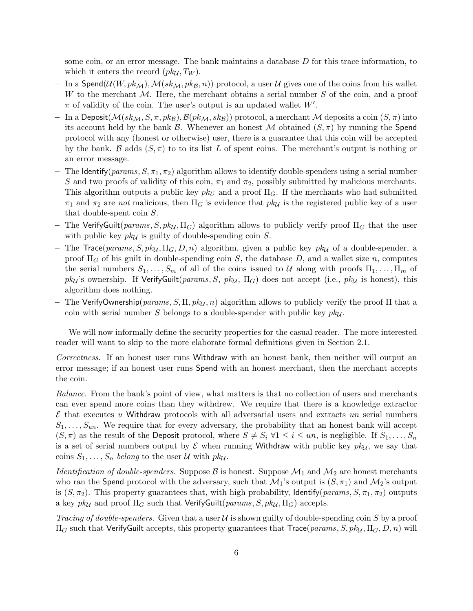some coin, or an error message. The bank maintains a database  $D$  for this trace information, to which it enters the record  $(pk_{\mathcal{U}}, T_W)$ .

- In a Spend $(\mathcal{U}(W, pk_{\mathcal{M}}), \mathcal{M}(sk_{\mathcal{M}}, pk_{\mathcal{B}}, n))$  protocol, a user U gives one of the coins from his wallet W to the merchant  $\mathcal M$ . Here, the merchant obtains a serial number S of the coin, and a proof  $\pi$  of validity of the coin. The user's output is an updated wallet  $W'$ .
- In a Deposit $(\mathcal{M}(sk_{\mathcal{M}}, S, \pi, pk_{\mathcal{B}}), \mathcal{B}(pk_{\mathcal{M}}, sk_{\mathcal{B}}))$  protocol, a merchant M deposits a coin  $(S, \pi)$  into its account held by the bank  $\beta$ . Whenever an honest M obtained  $(S,\pi)$  by running the Spend protocol with any (honest or otherwise) user, there is a guarantee that this coin will be accepted by the bank. B adds  $(S,\pi)$  to to its list L of spent coins. The merchant's output is nothing or an error message.
- The Identify( $params, S, \pi_1, \pi_2$ ) algorithm allows to identify double-spenders using a serial number S and two proofs of validity of this coin,  $\pi_1$  and  $\pi_2$ , possibly submitted by malicious merchants. This algorithm outputs a public key  $pk_U$  and a proof  $\Pi_G$ . If the merchants who had submitted  $\pi_1$  and  $\pi_2$  are not malicious, then  $\Pi_G$  is evidence that  $pk_{\mathcal{U}}$  is the registered public key of a user that double-spent coin S.
- The VerifyGuilt(params,  $S, pk<sub>U</sub>, \Pi<sub>G</sub>$ ) algorithm allows to publicly verify proof  $\Pi<sub>G</sub>$  that the user with public key  $pk_{\mathcal{U}}$  is guilty of double-spending coin S.
- The Trace(params,  $S, pk<sub>U</sub>, \Pi<sub>G</sub>, D, n$ ) algorithm, given a public key pk<sub>U</sub> of a double-spender, a proof  $\Pi_G$  of his guilt in double-spending coin S, the database D, and a wallet size n, computes the serial numbers  $S_1, \ldots, S_m$  of all of the coins issued to U along with proofs  $\Pi_1, \ldots, \Pi_m$  of  $pk_{\mathcal{U}}$ 's ownership. If VerifyGuilt(params, S, p $k_{\mathcal{U}}$ ,  $\Pi_G$ ) does not accept (i.e., p $k_{\mathcal{U}}$  is honest), this algorithm does nothing.
- The VerifyOwnership( $params$ , S, Π,  $pk_{\mathcal{U}}$ , n) algorithm allows to publicly verify the proof Π that a coin with serial number S belongs to a double-spender with public key  $pku$ .

We will now informally define the security properties for the casual reader. The more interested reader will want to skip to the more elaborate formal definitions given in Section 2.1.

Correctness. If an honest user runs Withdraw with an honest bank, then neither will output an error message; if an honest user runs Spend with an honest merchant, then the merchant accepts the coin.

Balance. From the bank's point of view, what matters is that no collection of users and merchants can ever spend more coins than they withdrew. We require that there is a knowledge extractor  $\mathcal E$  that executes u Withdraw protocols with all adversarial users and extracts un serial numbers  $S_1, \ldots, S_{un}$ . We require that for every adversary, the probability that an honest bank will accept  $(S, \pi)$  as the result of the Deposit protocol, where  $S \neq S_i \ \forall 1 \leq i \leq un$ , is negligible. If  $S_1, \ldots, S_n$ is a set of serial numbers output by  $\mathcal E$  when running Withdraw with public key  $pk_{\mathcal U}$ , we say that coins  $S_1, \ldots, S_n$  belong to the user U with  $pk_{\mathcal{U}}$ .

*Identification of double-spenders.* Suppose  $\mathcal{B}$  is honest. Suppose  $\mathcal{M}_1$  and  $\mathcal{M}_2$  are honest merchants who ran the Spend protocol with the adversary, such that  $\mathcal{M}_1$ 's output is  $(S, \pi_1)$  and  $\mathcal{M}_2$ 's output is  $(S, \pi_2)$ . This property guarantees that, with high probability, Identify(*params*,  $S, \pi_1, \pi_2$ ) outputs a key  $pk_{\mathcal{U}}$  and proof  $\Pi_G$  such that VerifyGuilt( $params, S, pk_{\mathcal{U}}, \Pi_G$ ) accepts.

Tracing of double-spenders. Given that a user  $\mathcal U$  is shown guilty of double-spending coin S by a proof  $\Pi_G$  such that VerifyGuilt accepts, this property guarantees that  $Trace(params, S, pk_\mathcal{U}, \Pi_G, D, n)$  will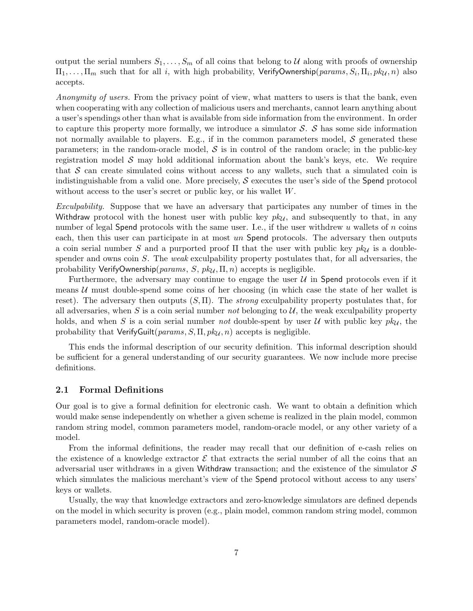output the serial numbers  $S_1, \ldots, S_m$  of all coins that belong to U along with proofs of ownership  $\Pi_1,\ldots,\Pi_m$  such that for all  $i,$  with high probability, <code>VerifyOwnership</code>( $params,S_i,\Pi_i,pk_{\mathcal{U}},n)$  also accepts.

Anonymity of users. From the privacy point of view, what matters to users is that the bank, even when cooperating with any collection of malicious users and merchants, cannot learn anything about a user's spendings other than what is available from side information from the environment. In order to capture this property more formally, we introduce a simulator  $S$ .  $S$  has some side information not normally available to players. E.g., if in the common parameters model,  $S$  generated these parameters; in the random-oracle model,  $\mathcal S$  is in control of the random oracle; in the public-key registration model  $\mathcal S$  may hold additional information about the bank's keys, etc. We require that  $\mathcal S$  can create simulated coins without access to any wallets, such that a simulated coin is indistinguishable from a valid one. More precisely,  $S$  executes the user's side of the Spend protocol without access to the user's secret or public key, or his wallet W.

Exculpability. Suppose that we have an adversary that participates any number of times in the Withdraw protocol with the honest user with public key  $pk_{\mathcal{U}}$ , and subsequently to that, in any number of legal Spend protocols with the same user. I.e., if the user withdrew  $u$  wallets of  $n$  coins each, then this user can participate in at most un Spend protocols. The adversary then outputs a coin serial number S and a purported proof  $\Pi$  that the user with public key  $pk_{\mathcal{U}}$  is a doublespender and owns coin S. The *weak* exculpability property postulates that, for all adversaries, the probability VerifyOwnership( $params$ ,  $S$ ,  $pk_{\mathcal{U}}$ ,  $\Pi$ ,  $n$ ) accepts is negligible.

Furthermore, the adversary may continue to engage the user  $U$  in Spend protocols even if it means  $U$  must double-spend some coins of her choosing (in which case the state of her wallet is reset). The adversary then outputs  $(S,\Pi)$ . The *strong* exculpability property postulates that, for all adversaries, when S is a coin serial number not belonging to  $U$ , the weak exculpability property holds, and when S is a coin serial number not double-spent by user U with public key  $pk_{\mathcal{U}}$ , the probability that VerifyGuilt( $params, S, \Pi, pk_{\mathcal{U}}, n$ ) accepts is negligible.

This ends the informal description of our security definition. This informal description should be sufficient for a general understanding of our security guarantees. We now include more precise definitions.

## 2.1 Formal Definitions

Our goal is to give a formal definition for electronic cash. We want to obtain a definition which would make sense independently on whether a given scheme is realized in the plain model, common random string model, common parameters model, random-oracle model, or any other variety of a model.

From the informal definitions, the reader may recall that our definition of e-cash relies on the existence of a knowledge extractor  $\mathcal E$  that extracts the serial number of all the coins that an adversarial user withdraws in a given Withdraw transaction; and the existence of the simulator  $S$ which simulates the malicious merchant's view of the **Spend** protocol without access to any users' keys or wallets.

Usually, the way that knowledge extractors and zero-knowledge simulators are defined depends on the model in which security is proven (e.g., plain model, common random string model, common parameters model, random-oracle model).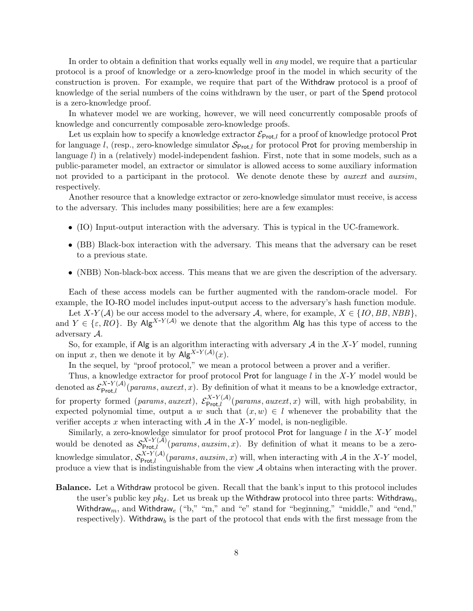In order to obtain a definition that works equally well in any model, we require that a particular protocol is a proof of knowledge or a zero-knowledge proof in the model in which security of the construction is proven. For example, we require that part of the Withdraw protocol is a proof of knowledge of the serial numbers of the coins withdrawn by the user, or part of the Spend protocol is a zero-knowledge proof.

In whatever model we are working, however, we will need concurrently composable proofs of knowledge and concurrently composable zero-knowledge proofs.

Let us explain how to specify a knowledge extractor  $\mathcal{E}_{Prot,l}$  for a proof of knowledge protocol Prot for language l, (resp., zero-knowledge simulator  $S_{Prot,l}$  for protocol Prot for proving membership in language  $l$ ) in a (relatively) model-independent fashion. First, note that in some models, such as a public-parameter model, an extractor or simulator is allowed access to some auxiliary information not provided to a participant in the protocol. We denote denote these by *auxest* and *auxsim*, respectively.

Another resource that a knowledge extractor or zero-knowledge simulator must receive, is access to the adversary. This includes many possibilities; here are a few examples:

- (IO) Input-output interaction with the adversary. This is typical in the UC-framework.
- (BB) Black-box interaction with the adversary. This means that the adversary can be reset to a previous state.
- (NBB) Non-black-box access. This means that we are given the description of the adversary.

Each of these access models can be further augmented with the random-oracle model. For example, the IO-RO model includes input-output access to the adversary's hash function module.

Let  $X-Y(\mathcal{A})$  be our access model to the adversary  $\mathcal{A}$ , where, for example,  $X \in \{IO, BB, NBB\}$ , and  $Y \in \{\varepsilon, RO\}$ . By Alg<sup>X-Y(A)</sup> we denote that the algorithm Alg has this type of access to the adversary A.

So, for example, if Alg is an algorithm interacting with adversary  $A$  in the  $X-Y$  model, running on input x, then we denote it by  $\mathsf{Alg}^{X-Y(\mathcal{A})}(x)$ .

In the sequel, by "proof protocol," we mean a protocol between a prover and a verifier.

Thus, a knowledge extractor for proof protocol Prot for language  $l$  in the  $X-Y$  model would be denoted as  $\mathcal{E}_{\text{Prot},l}^{X-Y(\mathcal{A})}(params, auxext, x)$ . By definition of what it means to be a knowledge extractor, for property formed (*params*, *auxext*),  $\mathcal{E}_{\text{Prot},l}^{X-Y(\mathcal{A})}(params, auxext, x)$  will, with high probability, in expected polynomial time, output a w such that  $(x, w) \in l$  whenever the probability that the verifier accepts x when interacting with  $A$  in the  $X-Y$  model, is non-negligible.

Similarly, a zero-knowledge simulator for proof protocol Prot for language  $l$  in the  $X-Y$  model would be denoted as  $\mathcal{S}_{\text{Prot},l}^{X-Y(\mathcal{A})}(params, auxsim, x)$ . By definition of what it means to be a zeroknowledge simulator,  $S_{\text{Prot},l}^{X-Y(A)}(params,auxsim, x)$  will, when interacting with A in the X-Y model, produce a view that is indistinguishable from the view  $\mathcal A$  obtains when interacting with the prover.

Balance. Let a Withdraw protocol be given. Recall that the bank's input to this protocol includes the user's public key  $pk_{\mathcal{U}}$ . Let us break up the Withdraw protocol into three parts: Withdraw<sub>b</sub>, Withdraw<sub>m</sub>, and Withdraw<sub>e</sub> ("b," "m," and "e" stand for "beginning," "middle," and "end," respectively). Withdraw<sub>b</sub> is the part of the protocol that ends with the first message from the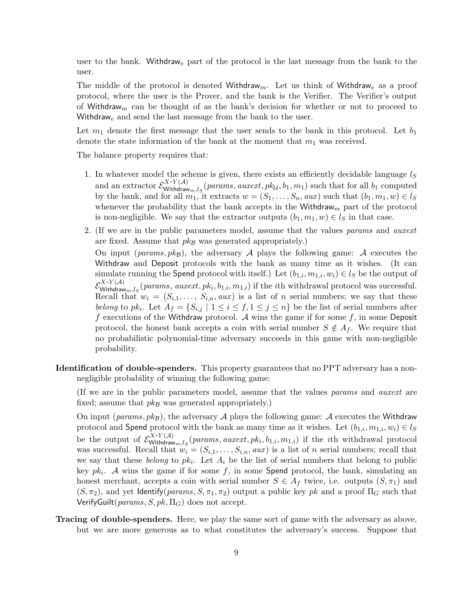user to the bank. Withdraw<sub>e</sub> part of the protocol is the last message from the bank to the user.

The middle of the protocol is denoted Withdraw<sub>m</sub>. Let us think of Withdraw<sub>e</sub> as a proof protocol, where the user is the Prover, and the bank is the Verifier. The Verifier's output of Withdraw<sub>m</sub> can be thought of as the bank's decision for whether or not to proceed to Withdraw<sub>e</sub> and send the last message from the bank to the user.

Let  $m_1$  denote the first message that the user sends to the bank in this protocol. Let  $b_1$ denote the state information of the bank at the moment that  $m_1$  was received.

The balance property requires that:

- 1. In whatever model the scheme is given, there exists an efficiently decidable language  $l<sub>S</sub>$ and an extractor  $\mathcal{E}_{\text{Withdraw}}^{X-Y(\mathcal{A})}$  $\sum_{i=1}^{N-1} (A)$  (params, auxext,  $pk_{\mathcal{U}}$ ,  $b_1$ ,  $m_1$ ) such that for all  $b_1$  computed by the bank, and for all  $m_1$ , it extracts  $w = (S_1, \ldots, S_n, aux)$  such that  $(b_1, m_1, w) \in l_S$ whenever the probability that the bank accepts in the Withdraw<sub>m</sub> part of the protocol is non-negligible. We say that the extractor outputs  $(b_1, m_1, w) \in l_S$  in that case.
- 2. (If we are in the public parameters model, assume that the values params and auxest are fixed. Assume that  $pk_B$  was generated appropriately.)

On input (params,  $pk_B$ ), the adversary A plays the following game: A executes the Withdraw and Deposit protocols with the bank as many time as it wishes. (It can simulate running the Spend protocol with itself.) Let  $(b_{1,i}, m_{1,i}, w_i) \in l_S$  be the output of  $\mathcal{E}_{\text{Withdraw}}^{X-Y(\mathcal{A})}$  $\sum_{i=1}^{N-1} (A)$ <br>Withdraw<sub>m</sub>,l<sub>S</sub> (params, auxext, pk<sub>i</sub>, b<sub>1,i</sub>, m<sub>1,i</sub>) if the *i*th withdrawal protocol was successful. Recall that  $w_i = (S_{i,1}, \ldots, S_{i,n}, aux)$  is a list of n serial numbers; we say that these belong to pk<sub>i</sub>. Let  $A_f = \{S_{i,j} \mid 1 \leq i \leq f, 1 \leq j \leq n\}$  be the list of serial numbers after  $f$  executions of the Withdraw protocol. A wins the game if for some  $f$ , in some Deposit protocol, the honest bank accepts a coin with serial number  $S \notin A_f$ . We require that no probabilistic polynomial-time adversary succeeds in this game with non-negligible probability.

Identification of double-spenders. This property guarantees that no PPT adversary has a nonnegligible probability of winning the following game:

(If we are in the public parameters model, assume that the values params and auxext are fixed; assume that  $pk_B$  was generated appropriately.)

On input (params,  $pk_B$ ), the adversary A plays the following game: A executes the Withdraw protocol and Spend protocol with the bank as many time as it wishes. Let  $(b_{1,i}, m_{1,i}, w_i) \in l_S$ be the output of  $\mathcal{E}_{\text{Without}}^{X-Y(\mathcal{A})}$  $\sum_{i=1}^{N-1} (A)$ <br>Withdraw<sub>m,</sub>l<sub>S</sub> (params, auxext, pk<sub>i</sub>, b<sub>1,i</sub>, m<sub>1,i</sub>) if the *i*th withdrawal protocol was successful. Recall that  $w_i = (S_{i,1}, \ldots, S_{i,n}, aux)$  is a list of n serial numbers; recall that we say that these *belong* to  $pk_i$ . Let  $A_i$  be the list of serial numbers that belong to public key  $pk_i$ . A wins the game if for some f, in some **Spend** protocol, the bank, simulating an honest merchant, accepts a coin with serial number  $S \in A_f$  twice, i.e. outputs  $(S, \pi_1)$  and  $(S, \pi_2)$ , and yet Identify(params,  $S, \pi_1, \pi_2$ ) output a public key pk and a proof  $\Pi_G$  such that VerifyGuilt( $params, S, pk, \Pi_G$ ) does not accept.

Tracing of double-spenders. Here, we play the same sort of game with the adversary as above, but we are more generous as to what constitutes the adversary's success. Suppose that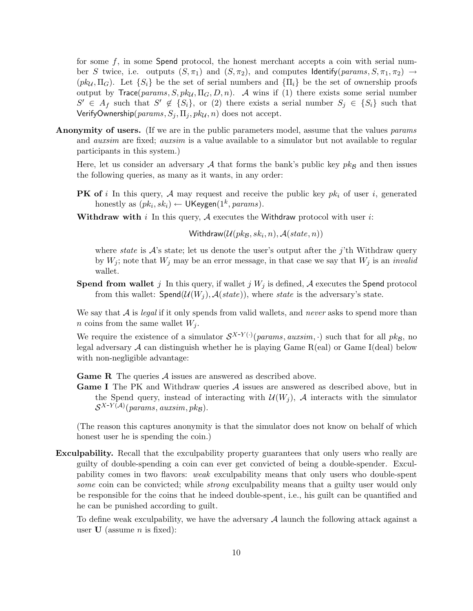for some  $f$ , in some Spend protocol, the honest merchant accepts a coin with serial number S twice, i.e. outputs  $(S, \pi_1)$  and  $(S, \pi_2)$ , and computes Identify(params,  $S, \pi_1, \pi_2$ )  $\rightarrow$  $(pk_{\mathcal{U}}, \Pi_G)$ . Let  $\{S_i\}$  be the set of serial numbers and  $\{\Pi_i\}$  be the set of ownership proofs output by Trace(params,  $S, pk<sub>U</sub>, \Pi<sub>G</sub>, D, n$ ). A wins if (1) there exists some serial number  $S' \in A_f$  such that  $S' \notin \{S_i\}$ , or (2) there exists a serial number  $S_j \in \{S_i\}$  such that VerifyOwnership( $params, S_j, \Pi_j, pk_\mathcal{U}, n)$  does not accept.

Anonymity of users. (If we are in the public parameters model, assume that the values params and *auxsim* are fixed; *auxsim* is a value available to a simulator but not available to regular participants in this system.)

Here, let us consider an adversary A that forms the bank's public key  $pk_B$  and then issues the following queries, as many as it wants, in any order:

- **PK of** i In this query, A may request and receive the public key  $pk_i$  of user i, generated honestly as  $(pk_i, sk_i) \leftarrow \mathsf{UKeygen}(1^k,params).$
- Withdraw with i In this query,  $A$  executes the Withdraw protocol with user i:

 $\mathsf{Without}(\mathcal{U}(pk_{\mathcal{B}},sk_i,n),\mathcal{A}(state,n))$ 

where state is  $\mathcal{A}$ 's state; let us denote the user's output after the j'th Withdraw query by  $W_j$ ; note that  $W_j$  may be an error message, in that case we say that  $W_j$  is an *invalid* wallet.

**Spend from wallet** j In this query, if wallet j  $W_j$  is defined, A executes the Spend protocol from this wallet:  $\mathsf{Spend}(\mathcal{U}(W_i), \mathcal{A}(state))$ , where state is the adversary's state.

We say that  $A$  is *legal* if it only spends from valid wallets, and *never* asks to spend more than *n* coins from the same wallet  $W_i$ .

We require the existence of a simulator  $S^{X-Y(\cdot)}(params, auxsim, \cdot)$  such that for all  $pk_{\mathcal{B}}$ , no legal adversary  $A$  can distinguish whether he is playing Game R(eal) or Game I(deal) below with non-negligible advantage:

Game R The queries A issues are answered as described above.

Game I The PK and Withdraw queries A issues are answered as described above, but in the Spend query, instead of interacting with  $\mathcal{U}(W_i)$ , A interacts with the simulator  $\mathcal{S}^{X-Y(\mathcal{A})}$ (params, auxsim, pkg).

(The reason this captures anonymity is that the simulator does not know on behalf of which honest user he is spending the coin.)

Exculpability. Recall that the exculpability property guarantees that only users who really are guilty of double-spending a coin can ever get convicted of being a double-spender. Exculpability comes in two flavors: weak exculpability means that only users who double-spent some coin can be convicted; while *strong* exculpability means that a guilty user would only be responsible for the coins that he indeed double-spent, i.e., his guilt can be quantified and he can be punished according to guilt.

To define weak exculpability, we have the adversary A launch the following attack against a user  $\bf{U}$  (assume *n* is fixed):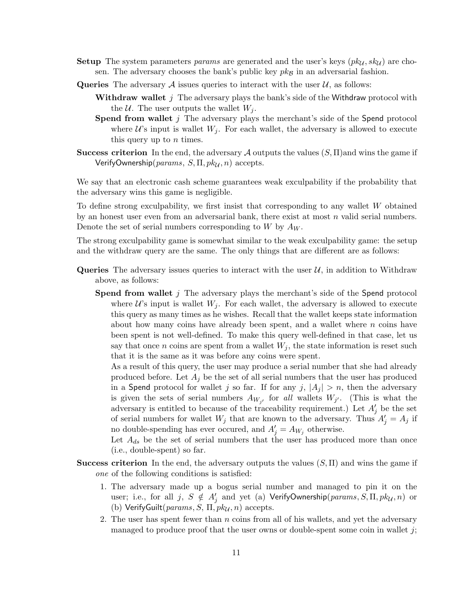- **Setup** The system parameters params are generated and the user's keys  $(pk_{\mathcal{U}}, sk_{\mathcal{U}})$  are chosen. The adversary chooses the bank's public key  $pk_B$  in an adversarial fashion.
- Queries The adversary  $\mathcal A$  issues queries to interact with the user  $\mathcal U$ , as follows:
	- **Withdraw wallet** j The adversary plays the bank's side of the Withdraw protocol with the  $U$ . The user outputs the wallet  $W_i$ .
	- **Spend from wallet**  $j$  The adversary plays the merchant's side of the Spend protocol where  $\mathcal{U}$ 's input is wallet  $W_j$ . For each wallet, the adversary is allowed to execute this query up to  $n$  times.
- **Success criterion** In the end, the adversary A outputs the values  $(S, \Pi)$  and wins the game if VerifyOwnership( $params, S, \Pi, pku, n)$  accepts.

We say that an electronic cash scheme guarantees weak exculpability if the probability that the adversary wins this game is negligible.

To define strong exculpability, we first insist that corresponding to any wallet W obtained by an honest user even from an adversarial bank, there exist at most  $n$  valid serial numbers. Denote the set of serial numbers corresponding to W by  $A_W$ .

The strong exculpability game is somewhat similar to the weak exculpability game: the setup and the withdraw query are the same. The only things that are different are as follows:

- Queries The adversary issues queries to interact with the user  $\mathcal{U}$ , in addition to Withdraw above, as follows:
	- **Spend from wallet**  $j$  The adversary plays the merchant's side of the Spend protocol where  $\mathcal{U}$ 's input is wallet  $W_j$ . For each wallet, the adversary is allowed to execute this query as many times as he wishes. Recall that the wallet keeps state information about how many coins have already been spent, and a wallet where  $n$  coins have been spent is not well-defined. To make this query well-defined in that case, let us say that once n coins are spent from a wallet  $W_j$ , the state information is reset such that it is the same as it was before any coins were spent.

As a result of this query, the user may produce a serial number that she had already produced before. Let  $A_i$  be the set of all serial numbers that the user has produced in a Spend protocol for wallet j so far. If for any j,  $|A_j| > n$ , then the adversary is given the sets of serial numbers  $A_{W_{j'}}$  for all wallets  $W_{j'}$ . (This is what the adversary is entitled to because of the traceability requirement.) Let  $A'_{j}$  be the set of serial numbers for wallet  $W_j$  that are known to the adversary. Thus  $A'_j = A_j$  if no double-spending has ever occured, and  $A'_{j} = A_{W_{j}}$  otherwise.

Let  $A_{ds}$  be the set of serial numbers that the user has produced more than once (i.e., double-spent) so far.

- **Success criterion** In the end, the adversary outputs the values  $(S, \Pi)$  and wins the game if one of the following conditions is satisfied:
	- 1. The adversary made up a bogus serial number and managed to pin it on the user; i.e., for all  $j, S \notin A'_j$  and yet (a) VerifyOwnership $(\text{params}, S, \Pi, \text{pk}_\mathcal{U}, n)$  or (b) VerifyGuilt( $params, S, \Pi, pku, n)$  accepts.
	- 2. The user has spent fewer than  $n$  coins from all of his wallets, and yet the adversary managed to produce proof that the user owns or double-spent some coin in wallet  $j$ ;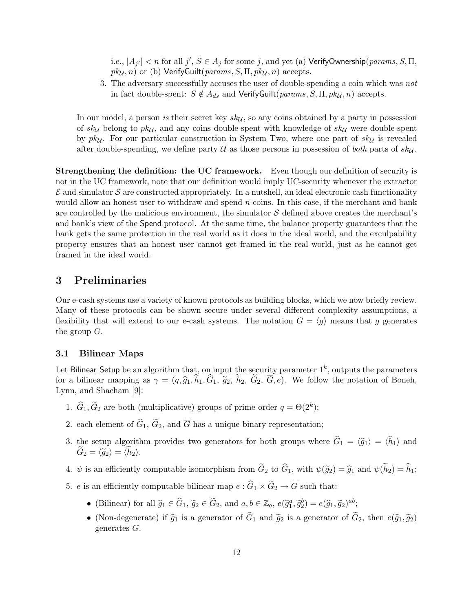i.e.,  $|A_{j'}| < n$  for all  $j', S \in A_j$  for some  $j$ , and yet (a) VerifyOwnership(params, S,  $\Pi$ ,  $pk_{\mathcal{U}}, n)$  or (b) VerifyGuilt( $params, S, \Pi, pk_{\mathcal{U}}, n)$  accepts.

3. The adversary successfully accuses the user of double-spending a coin which was not in fact double-spent:  $S \notin A_{ds}$  and VerifyGuilt( $params, S, \Pi, pk_{\mathcal{U}}, n)$  accepts.

In our model, a person is their secret key  $sk_{\mathcal{U}}$ , so any coins obtained by a party in possession of  $sk_{\mathcal{U}}$  belong to  $pk_{\mathcal{U}}$ , and any coins double-spent with knowledge of  $sk_{\mathcal{U}}$  were double-spent by  $pk_{\mathcal{U}}$ . For our particular construction in System Two, where one part of  $sk_{\mathcal{U}}$  is revealed after double-spending, we define party  $U$  as those persons in possession of both parts of  $sk_{U}$ .

Strengthening the definition: the UC framework. Even though our definition of security is not in the UC framework, note that our definition would imply UC-security whenever the extractor  $\mathcal E$  and simulator  $\mathcal S$  are constructed appropriately. In a nutshell, an ideal electronic cash functionality would allow an honest user to withdraw and spend  $n$  coins. In this case, if the merchant and bank are controlled by the malicious environment, the simulator  $S$  defined above creates the merchant's and bank's view of the Spend protocol. At the same time, the balance property guarantees that the bank gets the same protection in the real world as it does in the ideal world, and the exculpability property ensures that an honest user cannot get framed in the real world, just as he cannot get framed in the ideal world.

# 3 Preliminaries

Our e-cash systems use a variety of known protocols as building blocks, which we now briefly review. Many of these protocols can be shown secure under several different complexity assumptions, a flexibility that will extend to our e-cash systems. The notation  $G = \langle g \rangle$  means that g generates the group G.

#### 3.1 Bilinear Maps

Let Bilinear Setup be an algorithm that, on input the security parameter  $1^k$ , outputs the parameters for a bilinear mapping as  $\gamma = (q, \hat{g}_1, \hat{h}_1, \hat{G}_1, \hat{g}_2, \hat{h}_2, \hat{G}_2, \overline{G}, e)$ . We follow the notation of Boneh, Lynn, and Shacham [9]:

- 1.  $\hat{G}_1, \tilde{G}_2$  are both (multiplicative) groups of prime order  $q = \Theta(2^k)$ ;
- 2. each element of  $\widehat{G}_1$ ,  $\widetilde{G}_2$ , and  $\overline{G}$  has a unique binary representation;
- 3. the setup algorithm provides two generators for both groups where  $\hat{G}_1 = \langle \hat{g}_1 \rangle = \langle \hat{h}_1 \rangle$  and  $\widetilde{G}_2 = \langle \widetilde{q}_2 \rangle = \langle \widetilde{h}_2 \rangle.$
- 4.  $\psi$  is an efficiently computable isomorphism from  $\tilde{G}_2$  to  $\hat{G}_1$ , with  $\psi(\tilde{g}_2) = \hat{g}_1$  and  $\psi(\tilde{h}_2) = \hat{h}_1$ ;
- 5. e is an efficiently computable bilinear map  $e : \widehat{G}_1 \times \widetilde{G}_2 \to \overline{G}$  such that:
	- (Bilinear) for all  $\widehat{g}_1 \in \widehat{G}_1$ ,  $\widetilde{g}_2 \in \widetilde{G}_2$ , and  $a, b \in \mathbb{Z}_q$ ,  $e(\widehat{g}_1^a, \widetilde{g}_2^b) = e(\widehat{g}_1, \widetilde{g}_2)^{ab}$ ;
	- (Non-degenerate) if  $\hat{g}_1$  is a generator of  $\hat{G}_1$  and  $\tilde{g}_2$  is a generator of  $\tilde{G}_2$ , then  $e(\hat{g}_1, \tilde{g}_2)$ generates G.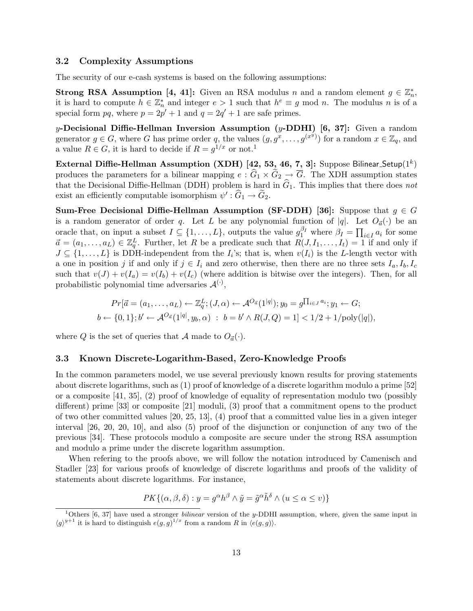#### 3.2 Complexity Assumptions

The security of our e-cash systems is based on the following assumptions:

**Strong RSA Assumption** [4, 41]: Given an RSA modulus n and a random element  $g \in \mathbb{Z}_n^*$ , it is hard to compute  $h \in \mathbb{Z}_n^*$  and integer  $e > 1$  such that  $h^e \equiv g \mod n$ . The modulus n is of a special form pq, where  $p = 2p' + 1$  and  $q = 2q' + 1$  are safe primes.

y-Decisional Diffie-Hellman Inversion Assumption (y-DDHI) [6, 37]: Given a random generator  $g \in G$ , where G has prime order q, the values  $(g, g^x, \ldots, g^{(x^{\hat{y}})})$  for a random  $x \in \mathbb{Z}_q$ , and a value  $R \in G$ , it is hard to decide if  $R = g^{1/x}$  or not.<sup>1</sup>

 ${\bf External~Diffie-Hellman~Assumption~(XDH)~[42,~53,~46,~7,~3]:}$   ${\rm Suppose~Bilinear\_Setup(1^k)}$ produces the parameters for a bilinear mapping  $e : G_1 \times G_2 \to \overline{G}$ . The XDH assumption states that the Decisional Diffie-Hellman (DDH) problem is hard in  $G_1$ . This implies that there does not exist an efficiently computable isomorphism  $\psi': \widehat{G}_1 \to \widetilde{G}_2$ .

**Sum-Free Decisional Diffie-Hellman Assumption (SF-DDH) [36]:** Suppose that  $g \in G$ is a random generator of order q. Let L be any polynomial function of |q|. Let  $O_{\vec{a}}(\cdot)$  be an oracle that, on input a subset  $I \subseteq \{1,\ldots,L\}$ , outputs the value  $g_1^{\beta_I}$  where  $\beta_I = \prod_{i \in I} a_i$  for some  $\vec{a} = (a_1, \ldots, a_L) \in \mathbb{Z}_q^L$ . Further, let R be a predicate such that  $R(J, I_1, \ldots, I_t) = 1$  if and only if  $J \subseteq \{1, \ldots, L\}$  is DDH-independent from the  $I_i$ 's; that is, when  $v(I_i)$  is the L-length vector with a one in position j if and only if  $j \in I_i$  and zero otherwise, then there are no three sets  $I_a, I_b, I_c$ such that  $v(J) + v(I_a) = v(I_b) + v(I_c)$  (where addition is bitwise over the integers). Then, for all probabilistic polynomial time adversaries  $\mathcal{A}^{(\cdot)}$ ,

$$
Pr[\vec{a} = (a_1, ..., a_L) \leftarrow \mathbb{Z}_q^L; (J, \alpha) \leftarrow \mathcal{A}^{O_{\vec{a}}}(1^{|q|}); y_0 = g^{\prod_{i \in J} a_i}; y_1 \leftarrow G;
$$
  

$$
b \leftarrow \{0, 1\}; b' \leftarrow \mathcal{A}^{O_{\vec{a}}}(1^{|q|}, y_b, \alpha) : b = b' \land R(J, Q) = 1] < 1/2 + 1/\text{poly}(|q|),
$$

where Q is the set of queries that A made to  $O_{\vec{a}}(\cdot)$ .

## 3.3 Known Discrete-Logarithm-Based, Zero-Knowledge Proofs

In the common parameters model, we use several previously known results for proving statements about discrete logarithms, such as (1) proof of knowledge of a discrete logarithm modulo a prime [52] or a composite [41, 35], (2) proof of knowledge of equality of representation modulo two (possibly different) prime [33] or composite [21] moduli, (3) proof that a commitment opens to the product of two other committed values [20, 25, 13], (4) proof that a committed value lies in a given integer interval [26, 20, 20, 10], and also (5) proof of the disjunction or conjunction of any two of the previous [34]. These protocols modulo a composite are secure under the strong RSA assumption and modulo a prime under the discrete logarithm assumption.

When refering to the proofs above, we will follow the notation introduced by Camenisch and Stadler [23] for various proofs of knowledge of discrete logarithms and proofs of the validity of statements about discrete logarithms. For instance,

$$
PK\{(\alpha,\beta,\delta) : y = g^{\alpha}h^{\beta} \wedge \tilde{y} = \tilde{g}^{\alpha}\tilde{h}^{\delta} \wedge (u \leq \alpha \leq v)\}\
$$

<sup>&</sup>lt;sup>1</sup>Others [6, 37] have used a stronger *bilinear* version of the y-DDHI assumption, where, given the same input in  $\langle g \rangle^{y+1}$  it is hard to distinguish  $e(g, g)^{1/x}$  from a random R in  $\langle e(g, g) \rangle$ .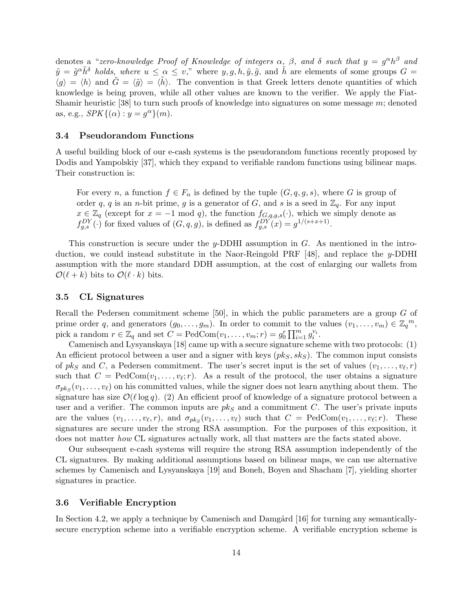denotes a "zero-knowledge Proof of Knowledge of integers  $\alpha$ ,  $\beta$ , and  $\delta$  such that  $y = g^{\alpha}h^{\beta}$  and  $\tilde{y} = \tilde{g}^{\alpha} \tilde{h}^{\delta}$  holds, where  $u \leq \alpha \leq v$ ," where  $y, g, h, \tilde{y}, \tilde{g}$ , and  $\tilde{h}$  are elements of some groups  $G =$  $\langle g \rangle = \langle h \rangle$  and  $\tilde{G} = \langle \tilde{g} \rangle = \langle \tilde{h} \rangle$ . The convention is that Greek letters denote quantities of which knowledge is being proven, while all other values are known to the verifier. We apply the Fiat-Shamir heuristic [38] to turn such proofs of knowledge into signatures on some message  $m$ ; denoted as, e.g.,  $SPK{(\alpha): y = g^{\alpha}\}(m)$ .

## 3.4 Pseudorandom Functions

A useful building block of our e-cash systems is the pseudorandom functions recently proposed by Dodis and Yampolskiy [37], which they expand to verifiable random functions using bilinear maps. Their construction is:

For every n, a function  $f \in F_n$  is defined by the tuple  $(G, q, g, s)$ , where G is group of order q, q is an n-bit prime, g is a generator of G, and s is a seed in  $\mathbb{Z}_q$ . For any input  $x \in \mathbb{Z}_q$  (except for  $x = -1 \mod q$ ), the function  $f_{G,q,g,s}(\cdot)$ , which we simply denote as  $f_{g,s}^{DY}(\cdot)$  for fixed values of  $(G, q, g)$ , is defined as  $f_{g,s}^{DY}(x) = g^{1/(s+x+1)}$ .

This construction is secure under the y-DDHI assumption in  $G$ . As mentioned in the introduction, we could instead substitute in the Naor-Reingold PRF [48], and replace the y-DDHI assumption with the more standard DDH assumption, at the cost of enlarging our wallets from  $\mathcal{O}(\ell + k)$  bits to  $\mathcal{O}(\ell \cdot k)$  bits.

#### 3.5 CL Signatures

Recall the Pedersen commitment scheme [50], in which the public parameters are a group  $G$  of prime order q, and generators  $(g_0, \ldots, g_m)$ . In order to commit to the values  $(v_1, \ldots, v_m) \in \mathbb{Z}_q^m$ , pick a random  $r \in \mathbb{Z}_q$  and set  $C = \text{PedCom}(v_1, \ldots, v_m; r) = g_0^r \prod_{i=1}^m g_i^{v_i}$ .

Camenisch and Lysyanskaya [18] came up with a secure signature scheme with two protocols: (1) An efficient protocol between a user and a signer with keys  $(pk_S, sk_S)$ . The common input consists of  $pk_S$  and C, a Pedersen commitment. The user's secret input is the set of values  $(v_1, \ldots, v_\ell, r)$ such that  $C = \text{PedCom}(v_1, \ldots, v_\ell; r)$ . As a result of the protocol, the user obtains a signature  $\sigma_{pk_S}(v_1,\ldots,v_\ell)$  on his committed values, while the signer does not learn anything about them. The signature has size  $\mathcal{O}(\ell \log q)$ . (2) An efficient proof of knowledge of a signature protocol between a user and a verifier. The common inputs are  $pk_S$  and a commitment C. The user's private inputs are the values  $(v_1, \ldots, v_\ell, r)$ , and  $\sigma_{pk_S}(v_1, \ldots, v_\ell)$  such that  $C = \text{PedCom}(v_1, \ldots, v_\ell; r)$ . These signatures are secure under the strong RSA assumption. For the purposes of this exposition, it does not matter how CL signatures actually work, all that matters are the facts stated above.

Our subsequent e-cash systems will require the strong RSA assumption independently of the CL signatures. By making additional assumptions based on bilinear maps, we can use alternative schemes by Camenisch and Lysyanskaya [19] and Boneh, Boyen and Shacham [7], yielding shorter signatures in practice.

#### 3.6 Verifiable Encryption

In Section 4.2, we apply a technique by Camenisch and Damgård  $[16]$  for turning any semanticallysecure encryption scheme into a verifiable encryption scheme. A verifiable encryption scheme is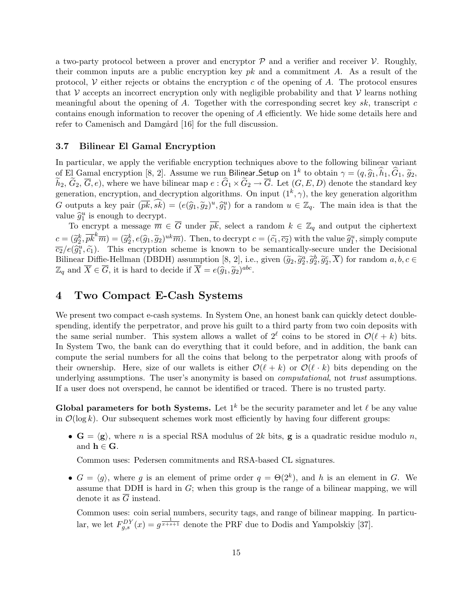a two-party protocol between a prover and encryptor  $P$  and a verifier and receiver  $V$ . Roughly, their common inputs are a public encryption key  $pk$  and a commitment A. As a result of the protocol,  $\mathcal V$  either rejects or obtains the encryption c of the opening of A. The protocol ensures that  $V$  accepts an incorrect encryption only with negligible probability and that  $V$  learns nothing meaningful about the opening of A. Together with the corresponding secret key sk, transcript c contains enough information to recover the opening of A efficiently. We hide some details here and refer to Camenisch and Damgård [16] for the full discussion.

#### 3.7 Bilinear El Gamal Encryption

In particular, we apply the verifiable encryption techniques above to the following bilinear variant of El Gamal encryption [8, 2]. Assume we run Bilinear Setup on  $1^k$  to obtain  $\gamma = (q, \hat{g}_1, \hat{h}_1, \hat{G}_1, \hat{g}_2, \hat{h}_2, \hat{G}_2, \hat{G}_3, \hat{h}_3, \hat{G}_4, \hat{G}_5, \hat{G}_6, \hat{G}_7, \hat{G}_8)$  where we have bilinear map  $g: \hat{G} \times \tilde{G$  $\tilde{h}_2, \tilde{G}_2, \overline{G}, e$ , where we have bilinear map  $e : \hat{G}_1 \times \tilde{G}_2 \to \overline{G}$ . Let  $(G, E, D)$  denote the standard key generation, encryption, and decryption algorithms. On input  $(1^k, \gamma)$ , the key generation algorithm G outputs a key pair  $(\overline{pk}, \overline{sk}) = (e(\widehat{g}_1, \widetilde{g}_2)^u, \widehat{g}_1^u)$  for a random  $u \in \mathbb{Z}_q$ . The main idea is that the value  $\hat{g}_1^u$  is enough to decrypt.<br>To ensure a message  $\overline{m}$ .

To encrypt a message  $\overline{m} \in \overline{G}$  under  $\overline{pk}$ , select a random  $k \in \mathbb{Z}_q$  and output the ciphertext  $c = (\tilde{g}_2^k, \overline{pk}^k \overline{m}) = (\tilde{g}_2^k, e(\hat{g}_1, \tilde{g}_2)^{uk} \overline{m})$ . Then, to decrypt  $c = (\tilde{c}_1, \overline{c_2})$  with the value  $\tilde{g}_1^u$ , simply compute  $\overline{c_2}/e(\hat{g}_1^u, \tilde{c_1})$ . This encryption scheme is known to be semantically-secure under the Decisional<br>Bilinear Difficultures (DPDH) equipming [8, 2] i.e. given  $(\tilde{z}, \tilde{z}^a, \tilde{z}^b, \tilde{z}^c, \overline{Y})$  for reader Bilinear Diffie-Hellman (DBDH) assumption [8, 2], i.e., given  $(\tilde{g}_2, \tilde{g}_2^a, \tilde{g}_2^b, \tilde{g}_2^c, \overline{X})$  for random  $a, b, c \in \mathbb{Z}$ , and  $\overline{X} \in \overline{C}$ , it is hard to docide if  $\overline{X} = g(\hat{g}, \tilde{g}, \tilde{g})$  $\mathbb{Z}_q$  and  $\overline{X} \in \overline{G}$ , it is hard to decide if  $\overline{X} = e(\hat{g}_1, \tilde{g}_2)^{abc}$ .

## 4 Two Compact E-Cash Systems

We present two compact e-cash systems. In System One, an honest bank can quickly detect doublespending, identify the perpetrator, and prove his guilt to a third party from two coin deposits with the same serial number. This system allows a wallet of  $2^{\ell}$  coins to be stored in  $\mathcal{O}(\ell + k)$  bits. In System Two, the bank can do everything that it could before, and in addition, the bank can compute the serial numbers for all the coins that belong to the perpetrator along with proofs of their ownership. Here, size of our wallets is either  $\mathcal{O}(\ell + k)$  or  $\mathcal{O}(\ell \cdot k)$  bits depending on the underlying assumptions. The user's anonymity is based on *computational*, not *trust* assumptions. If a user does not overspend, he cannot be identified or traced. There is no trusted party.

Global parameters for both Systems. Let  $1^k$  be the security parameter and let  $\ell$  be any value in  $\mathcal{O}(\log k)$ . Our subsequent schemes work most efficiently by having four different groups:

•  $\mathbf{G} = \langle \mathbf{g} \rangle$ , where n is a special RSA modulus of 2k bits, g is a quadratic residue modulo n, and  $h \in G$ .

Common uses: Pedersen commitments and RSA-based CL signatures.

•  $G = \langle g \rangle$ , where g is an element of prime order  $q = \Theta(2^k)$ , and h is an element in G. We assume that DDH is hard in  $G$ ; when this group is the range of a bilinear mapping, we will denote it as  $\overline{G}$  instead.

Common uses: coin serial numbers, security tags, and range of bilinear mapping. In particular, we let  $F_{g,s}^{DY}(x) = g^{\frac{1}{x+s+1}}$  denote the PRF due to Dodis and Yampolskiy [37].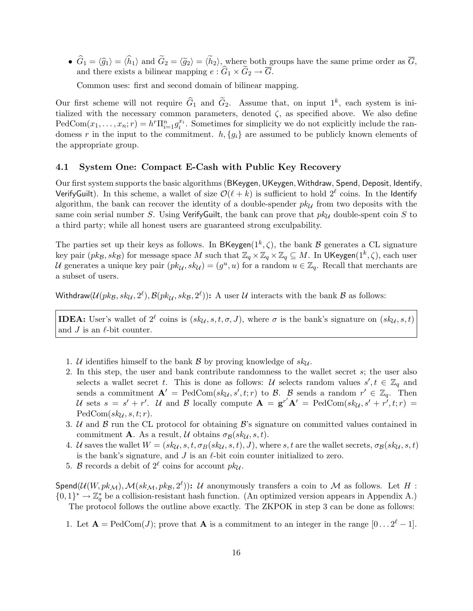•  $\hat{G}_1 = \langle \hat{g}_1 \rangle = \langle \hat{h}_1 \rangle$  and  $\tilde{G}_2 = \langle \tilde{g}_2 \rangle = \langle \tilde{h}_2 \rangle$ , where both groups have the same prime order as  $\overline{G}_2$ , and there exists a bilinear mapping  $e : G_1 \times G_2 \rightarrow \overline{G}$ .

Common uses: first and second domain of bilinear mapping.

Our first scheme will not require  $\hat{G}_1$  and  $\tilde{G}_2$ . Assume that, on input  $1^k$ , each system is initialized with the necessary common parameters, denoted  $\zeta$ , as specified above. We also define  $\text{PedCom}(x_1,\ldots,x_n;r) = h^r \Pi_{i=1}^n g_i^{x_i}$ . Sometimes for simplicity we do not explicitly include the randomess r in the input to the commitment.  $h, \{g_i\}$  are assumed to be publicly known elements of the appropriate group.

## 4.1 System One: Compact E-Cash with Public Key Recovery

Our first system supports the basic algorithms (BKeygen,UKeygen, Withdraw, Spend, Deposit, Identify, VerifyGuilt). In this scheme, a wallet of size  $\mathcal{O}(\ell + k)$  is sufficient to hold  $2^\ell$  coins. In the Identify algorithm, the bank can recover the identity of a double-spender  $pk_{\mathcal{U}}$  from two deposits with the same coin serial number S. Using VerifyGuilt, the bank can prove that  $pk_{\mathcal{U}}$  double-spent coin S to a third party; while all honest users are guaranteed strong exculpability.

The parties set up their keys as follows. In BKeygen( $1^k, \zeta$ ), the bank  $\mathcal B$  generates a CL signature key pair  $(pk_B, sk_B)$  for message space M such that  $\mathbb{Z}_q \times \mathbb{Z}_q \times \mathbb{Z}_q \subseteq M$ . In UKeygen $(1^k, \zeta)$ , each user U generates a unique key pair  $(pk_{\mathcal{U}}, sk_{\mathcal{U}}) = (g^u, u)$  for a random  $u \in \mathbb{Z}_q$ . Recall that merchants are a subset of users.

Withdraw $(\mathcal{U}(pk_\mathcal{B}, sk_\mathcal{U}, 2^\ell), \mathcal{B}(pk_\mathcal{U}, sk_\mathcal{B}, 2^\ell))$ : A user  $\mathcal U$  interacts with the bank  $\mathcal B$  as follows:

**IDEA:** User's wallet of  $2^{\ell}$  coins is  $(sk_{\mathcal{U}}, s, t, \sigma, J)$ , where  $\sigma$  is the bank's signature on  $(sk_{\mathcal{U}}, s, t)$ and  $J$  is an  $\ell$ -bit counter.

- 1. *U* identifies himself to the bank  $\beta$  by proving knowledge of  $sk_{\mathcal{U}}$ .
- 2. In this step, the user and bank contribute randomness to the wallet secret s; the user also selects a wallet secret t. This is done as follows: U selects random values  $s', t \in \mathbb{Z}_q$  and sends a commitment  $\mathbf{A}' = \text{PedCom}(sk_{\mathcal{U}}, s', t; r)$  to  $\mathcal{B}$ .  $\mathcal{B}$  sends a random  $r' \in \mathbb{Z}_q$ . Then U sets  $s = s' + r'$ . U and B locally compute  $\mathbf{A} = \mathbf{g}^{r'} \mathbf{A}' = \text{PedCom}(sk_{\mathcal{U}}, s' + r', t; r) =$  $PedCom(sk_{\mathcal{U}}, s, t; r).$
- 3. U and B run the CL protocol for obtaining  $\mathcal{B}$ 's signature on committed values contained in commitment **A**. As a result, U obtains  $\sigma_{\mathcal{B}}(sk_{\mathcal{U}}, s, t)$ .
- 4. U saves the wallet  $W = (sk_{\mathcal{U}}, s, t, \sigma_B(sk_{\mathcal{U}}, s, t), J)$ , where s, t are the wallet secrets,  $\sigma_B(sk_{\mathcal{U}}, s, t)$ is the bank's signature, and  $J$  is an  $\ell$ -bit coin counter initialized to zero.
- 5. B records a debit of  $2^{\ell}$  coins for account  $pk_{\mathcal{U}}$ .

Spend $(\mathcal{U}(W,pk_{\mathcal{M}}),\mathcal{M}(sk_{\mathcal{M}},pk_{\mathcal{B}},2^{\ell}))$ :  $\mathcal{U}$  anonymously transfers a coin to  $\mathcal{M}$  as follows. Let  $H$ :  $\{0,1\}^* \to \mathbb{Z}_q^*$  be a collision-resistant hash function. (An optimized version appears in Appendix A.) The protocol follows the outline above exactly. The ZKPOK in step 3 can be done as follows:

1. Let  $\mathbf{A} = \text{PedCom}(J)$ ; prove that  $\mathbf{A}$  is a commitment to an integer in the range  $[0 \dots 2^{\ell} - 1]$ .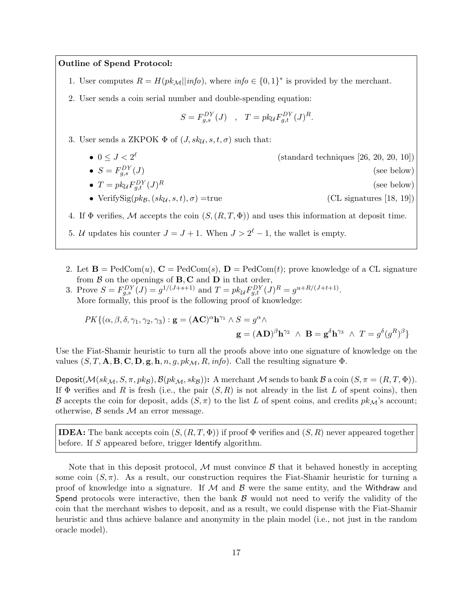## Outline of Spend Protocol:

- 1. User computes  $R = H(pk_{\mathcal{M}}||info)$ , where  $info \in \{0,1\}^*$  is provided by the merchant.
- 2. User sends a coin serial number and double-spending equation:

$$
S = F_{g,s}^{DY}(J) \quad , \quad T = pk_{\mathcal{U}} F_{g,t}^{DY}(J)^R.
$$

- 3. User sends a ZKPOK  $\Phi$  of  $(J, sk_{\mathcal{U}}, s, t, \sigma)$  such that:
	- $\bullet\;\, 0\leq J < 2^\ell$ (standard techniques [26, 20, 20, 10])

•  $S = F_{g,s}^{DY}(J)$  (see below)

- $T = pk_\mathcal{U} F_{g,t}^{DY}(J)$  $(see below)$
- VerifySig( $pk_B$ ,  $(sk_U, s, t)$ ,  $\sigma$ ) =true (CL signatures [18, 19])

4. If  $\Phi$  verifies, M accepts the coin  $(S,(R,T,\Phi))$  and uses this information at deposit time.

- 5. U updates his counter  $J = J + 1$ . When  $J > 2^{\ell} 1$ , the wallet is empty.
- 2. Let  $\mathbf{B} = \text{PedCom}(u)$ ,  $\mathbf{C} = \text{PedCom}(s)$ ,  $\mathbf{D} = \text{PedCom}(t)$ ; prove knowledge of a CL signature from  $\beta$  on the openings of **B**, **C** and **D** in that order,
- 3. Prove  $S = F_{g,s}^{DY}(J) = g^{1/(J+s+1)}$  and  $T = pk_{\mathcal{U}} F_{g,t}^{DY}(J)^R = g^{u+R/(J+t+1)}$ . More formally, this proof is the following proof of knowledge:

$$
PK\{(\alpha, \beta, \delta, \gamma_1, \gamma_2, \gamma_3) : \mathbf{g} = (\mathbf{AC})^{\alpha} \mathbf{h}^{\gamma_1} \wedge S = g^{\alpha} \wedge \mathbf{g} = (\mathbf{AD})^{\beta} \mathbf{h}^{\gamma_2} \wedge \mathbf{B} = \mathbf{g}^{\delta} \mathbf{h}^{\gamma_3} \wedge T = g^{\delta} (g^R)^{\beta} \}
$$

Use the Fiat-Shamir heuristic to turn all the proofs above into one signature of knowledge on the values  $(S, T, \mathbf{A}, \mathbf{B}, \mathbf{C}, \mathbf{D}, \mathbf{g}, \mathbf{h}, n, g, p k_{\mathcal{M}}, R, info)$ . Call the resulting signature  $\Phi$ .

Deposit( $\mathcal{M}(sk_{\mathcal{M}}, S, \pi, pk_{\mathcal{B}}), \mathcal{B}(pk_{\mathcal{M}}, sk_{\mathcal{B}})$ ): A merchant  $\mathcal M$  sends to bank  $\mathcal B$  a coin  $(S, \pi = (R, T, \Phi)).$ If  $\Phi$  verifies and R is fresh (i.e., the pair  $(S, R)$  is not already in the list L of spent coins), then B accepts the coin for deposit, adds  $(S, \pi)$  to the list L of spent coins, and credits  $pk_{\mathcal{M}}$ 's account; otherwise,  $\beta$  sends  $\mathcal M$  an error message.

**IDEA:** The bank accepts coin  $(S, (R, T, \Phi))$  if proof  $\Phi$  verifies and  $(S, R)$  never appeared together before. If S appeared before, trigger Identify algorithm.

Note that in this deposit protocol,  $\mathcal M$  must convince  $\mathcal B$  that it behaved honestly in accepting some coin  $(S, \pi)$ . As a result, our construction requires the Fiat-Shamir heuristic for turning a proof of knowledge into a signature. If  $\mathcal M$  and  $\mathcal B$  were the same entity, and the Withdraw and Spend protocols were interactive, then the bank  $\beta$  would not need to verify the validity of the coin that the merchant wishes to deposit, and as a result, we could dispense with the Fiat-Shamir heuristic and thus achieve balance and anonymity in the plain model (i.e., not just in the random oracle model).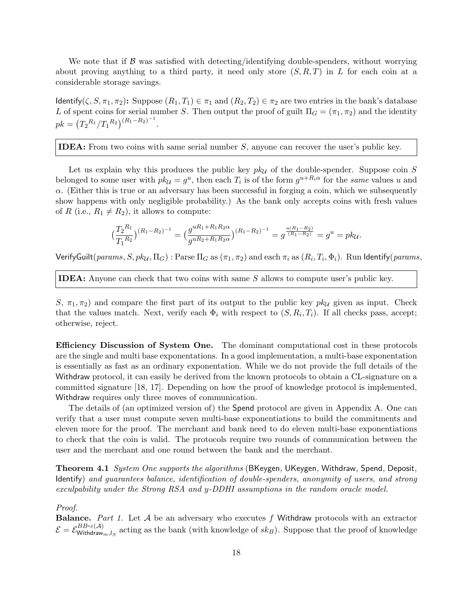We note that if  $\beta$  was satisfied with detecting/identifying double-spenders, without worrying about proving anything to a third party, it need only store  $(S, R, T)$  in L for each coin at a considerable storage savings.

Identify( $\zeta, S, \pi_1, \pi_2$ ): Suppose  $(R_1, T_1) \in \pi_1$  and  $(R_2, T_2) \in \pi_2$  are two entries in the bank's database L of spent coins for serial number S. Then output the proof of guilt  $\Pi_G = (\pi_1, \pi_2)$  and the identity  $pk = (T_2^{R_1}/T_1^{R_2})^{(R_1 - R_2)^{-1}}.$ 

**IDEA:** From two coins with same serial number  $S$ , anyone can recover the user's public key.

Let us explain why this produces the public key  $pk_{\mathcal{U}}$  of the double-spender. Suppose coin S belonged to some user with  $pk_{\mathcal{U}} = g^u$ , then each  $T_i$  is of the form  $g^{u+R_i\alpha}$  for the same values u and  $\alpha$ . (Either this is true or an adversary has been successful in forging a coin, which we subsequently show happens with only negligible probability.) As the bank only accepts coins with fresh values of R (i.e.,  $R_1 \neq R_2$ ), it allows to compute:

$$
\left(\frac{T_2^{R_1}}{T_1^{R_2}}\right)^{(R_1 - R_2)^{-1}} = \left(\frac{g^{uR_1 + R_1 R_2 \alpha}}{g^{uR_2 + R_1 R_2 \alpha}}\right)^{(R_1 - R_2)^{-1}} = g^{\frac{u(R_1 - R_2)}{(R_1 - R_2)}} = g^u = p k_{\mathcal{U}}.
$$

VerifyGuilt $(\textit{params}, S, \textit{pk}_{\mathcal{U}}, \Pi_G)$  :  $\text{Parse } \Pi_G \text{ as } (\pi_1, \pi_2) \text{ and each } \pi_i \text{ as } (R_i, T_i, \Phi_i).$   $\text{Run } \textsf{Identity} (\textit{params},$ 

IDEA: Anyone can check that two coins with same S allows to compute user's public key.

S,  $\pi_1, \pi_2$ ) and compare the first part of its output to the public key  $pk_{\mathcal{U}}$  given as input. Check that the values match. Next, verify each  $\Phi_i$  with respect to  $(S, R_i, T_i)$ . If all checks pass, accept; otherwise, reject.

Efficiency Discussion of System One. The dominant computational cost in these protocols are the single and multi base exponentations. In a good implementation, a multi-base exponentation is essentially as fast as an ordinary exponentation. While we do not provide the full details of the Withdraw protocol, it can easily be derived from the known protocols to obtain a CL-signature on a committed signature [18, 17]. Depending on how the proof of knowledge protocol is implemented, Withdraw requires only three moves of communication.

The details of (an optimized version of) the Spend protocol are given in Appendix A. One can verify that a user must compute seven multi-base exponentiations to build the commitments and eleven more for the proof. The merchant and bank need to do eleven multi-base exponentiations to check that the coin is valid. The protocols require two rounds of communication between the user and the merchant and one round between the bank and the merchant.

Theorem 4.1 System One supports the algorithms (BKeygen, UKeygen, Withdraw, Spend, Deposit, Identify) and guarantees balance, identification of double-spenders, anonymity of users, and strong exculpability under the Strong RSA and y-DDHI assumptions in the random oracle model.

Proof.

**Balance.** Part 1. Let  $\mathcal A$  be an adversary who executes f Withdraw protocols with an extractor  $\mathcal{E} = \mathcal{E}_{\text{Withdraw}}^{BB-\varepsilon(\mathcal{A})}$  $B_{D}^{D}P^{E}(\mathcal{A})$ <br>Withdraw<sub>m,</sub>l<sub>S</sub> acting as the bank (with knowledge of  $sk_B$ ). Suppose that the proof of knowledge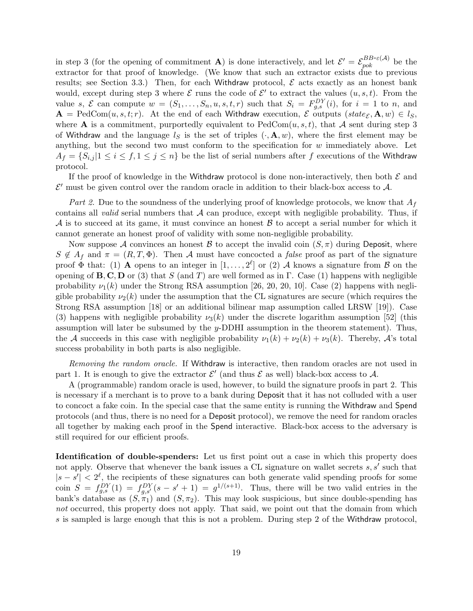in step 3 (for the opening of commitment **A**) is done interactively, and let  $\mathcal{E}' = \mathcal{E}_{pok}^{BB-\varepsilon(\mathcal{A})}$  be the extractor for that proof of knowledge. (We know that such an extractor exists due to previous results; see Section 3.3.) Then, for each Withdraw protocol,  $\mathcal E$  acts exactly as an honest bank would, except during step 3 where  $\mathcal E$  runs the code of  $\mathcal E'$  to extract the values  $(u, s, t)$ . From the value s,  $\mathcal E$  can compute  $w = (S_1, \ldots, S_n, u, s, t, r)$  such that  $S_i = F_{g,s}^{DY}(i)$ , for  $i = 1$  to n, and  $\mathbf{A} = \text{PedCom}(u, s, t; r)$ . At the end of each Withdraw execution, E outputs (states,  $\mathbf{A}, w$ )  $\in l_S$ , where **A** is a commitment, purportedly equivalent to PedCom $(u, s, t)$ , that A sent during step 3 of Withdraw and the language  $l_S$  is the set of triples  $(\cdot, \mathbf{A}, w)$ , where the first element may be anything, but the second two must conform to the specification for w immediately above. Let  $A_f = \{S_{i,j} | 1 \leq i \leq f, 1 \leq j \leq n\}$  be the list of serial numbers after f executions of the Withdraw protocol.

If the proof of knowledge in the Withdraw protocol is done non-interactively, then both  $\mathcal E$  and  $\mathcal{E}'$  must be given control over the random oracle in addition to their black-box access to  $\mathcal{A}$ .

Part 2. Due to the soundness of the underlying proof of knowledge protocols, we know that  $A_f$ contains all *valid* serial numbers that  $A$  can produce, except with negligible probability. Thus, if  $\mathcal A$  is to succeed at its game, it must convince an honest  $\mathcal B$  to accept a serial number for which it cannot generate an honest proof of validity with some non-negligible probability.

Now suppose A convinces an honest B to accept the invalid coin  $(S, \pi)$  during Deposit, where  $S \notin A_f$  and  $\pi = (R, T, \Phi)$ . Then A must have concocted a *false* proof as part of the signature proof  $\Phi$  that: (1) **A** opens to an integer in  $[1,\ldots,2^{\ell}]$  or (2) A knows a signature from B on the opening of **B**, C, D or (3) that S (and T) are well formed as in  $\Gamma$ . Case (1) happens with negligible probability  $\nu_1(k)$  under the Strong RSA assumption [26, 20, 20, 10]. Case (2) happens with negligible probability  $\nu_2(k)$  under the assumption that the CL signatures are secure (which requires the Strong RSA assumption [18] or an additional bilinear map assumption called LRSW [19]). Case (3) happens with negligible probability  $\nu_3(k)$  under the discrete logarithm assumption [52] (this assumption will later be subsumed by the  $y$ -DDHI assumption in the theorem statement). Thus, the A succeeds in this case with negligible probability  $\nu_1(k) + \nu_2(k) + \nu_3(k)$ . Thereby, A's total success probability in both parts is also negligible.

Removing the random oracle. If Withdraw is interactive, then random oracles are not used in part 1. It is enough to give the extractor  $\mathcal{E}'$  (and thus  $\mathcal E$  as well) black-box access to  $\mathcal A$ .

A (programmable) random oracle is used, however, to build the signature proofs in part 2. This is necessary if a merchant is to prove to a bank during Deposit that it has not colluded with a user to concoct a fake coin. In the special case that the same entity is running the Withdraw and Spend protocols (and thus, there is no need for a Deposit protocol), we remove the need for random oracles all together by making each proof in the Spend interactive. Black-box access to the adversary is still required for our efficient proofs.

Identification of double-spenders: Let us first point out a case in which this property does not apply. Observe that whenever the bank issues a CL signature on wallet secrets  $s, s'$  such that  $|s - s'| < 2^{\ell}$ , the recipients of these signatures can both generate valid spending proofs for some coin  $S = f_{g,s}^{DY}(1) = f_{g,s'}^{DY}(s-s'+1) = g^{1/(s+1)}$ . Thus, there will be two valid entries in the bank's database as  $(S, \pi_1)$  and  $(S, \pi_2)$ . This may look suspicious, but since double-spending has not occurred, this property does not apply. That said, we point out that the domain from which s is sampled is large enough that this is not a problem. During step 2 of the Withdraw protocol,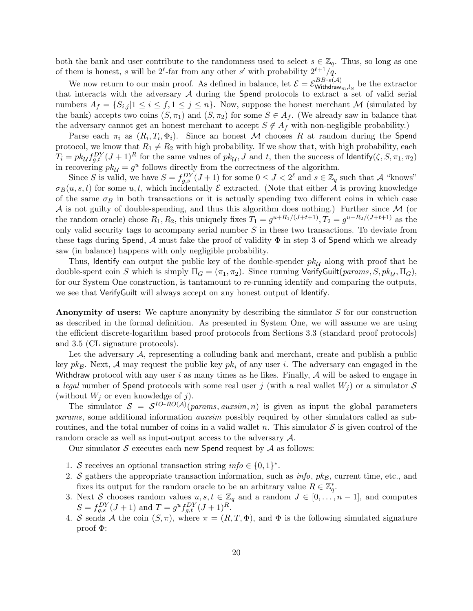both the bank and user contribute to the randomness used to select  $s \in \mathbb{Z}_q$ . Thus, so long as one of them is honest, s will be  $2^{\ell}$ -far from any other s' with probability  $2^{\ell+1}/q$ .

We now return to our main proof. As defined in balance, let  $\mathcal{E} = \mathcal{E}_{\text{Whithelzov}}^{BB-\varepsilon(\mathcal{A})}$  $\sum_{i=1}^{B} D^{-\varepsilon}$  be the extractor that interacts with the adversary  $A$  during the Spend protocols to extract a set of valid serial numbers  $A_f = \{S_{i,j} | 1 \leq i \leq f, 1 \leq j \leq n\}$ . Now, suppose the honest merchant M (simulated by the bank) accepts two coins  $(S, \pi_1)$  and  $(S, \pi_2)$  for some  $S \in A_f$ . (We already saw in balance that the adversary cannot get an honest merchant to accept  $S \notin A_f$  with non-negligible probability.)

Parse each  $\pi_i$  as  $(R_i, T_i, \Phi_i)$ . Since an honest M chooses R at random during the Spend protocol, we know that  $R_1 \neq R_2$  with high probability. If we show that, with high probability, each  $T_i = pk_U f_{g,t}^{DY}(J+1)^R$  for the same values of  $pk_U, J$  and t, then the success of Identify( $\zeta, S, \pi_1, \pi_2$ ) in recovering  $pk_{\mathcal{U}} = g^u$  follows directly from the correctness of the algorithm.

Since S is valid, we have  $S = f_{g,s}^{DY}(J+1)$  for some  $0 \leq J < 2^{\ell}$  and  $s \in \mathbb{Z}_q$  such that A "knows"  $\sigma_B(u, s, t)$  for some u, t, which incidentally  $\mathcal E$  extracted. (Note that either A is proving knowledge of the same  $\sigma_B$  in both transactions or it is actually spending two different coins in which case  $A$  is not guilty of double-spending, and thus this algorithm does nothing.) Further since  $M$  (or the random oracle) chose  $R_1, R_2$ , this uniquely fixes  $T_1 = g^{u+R_1/(J+t+1)}, T_2 = g^{u+R_2/(J+t+1)}$  as the only valid security tags to accompany serial number  $S$  in these two transactions. To deviate from these tags during Spend, A must fake the proof of validity  $\Phi$  in step 3 of Spend which we already saw (in balance) happens with only negligible probability.

Thus, Identify can output the public key of the double-spender  $pk_{\mathcal{U}}$  along with proof that he double-spent coin S which is simply  $\Pi_G = (\pi_1, \pi_2)$ . Since running VerifyGuilt(params, S, pk<sub>U</sub>,  $\Pi_G$ ), for our System One construction, is tantamount to re-running identify and comparing the outputs, we see that VerifyGuilt will always accept on any honest output of Identify.

Anonymity of users: We capture anonymity by describing the simulator S for our construction as described in the formal definition. As presented in System One, we will assume we are using the efficient discrete-logarithm based proof protocols from Sections 3.3 (standard proof protocols) and 3.5 (CL signature protocols).

Let the adversary A, representing a colluding bank and merchant, create and publish a public key pkg. Next, A may request the public key pk<sub>i</sub> of any user i. The adversary can engaged in the Withdraw protocol with any user i as many times as he likes. Finally,  $A$  will be asked to engage in a legal number of Spend protocols with some real user j (with a real wallet  $W_j$ ) or a simulator S (without  $W_i$  or even knowledge of j).

The simulator  $S = S^{IO-RO(A)}(params, auxsim, n)$  is given as input the global parameters params, some additional information auxsim possibly required by other simulators called as subroutines, and the total number of coins in a valid wallet n. This simulator  $S$  is given control of the random oracle as well as input-output access to the adversary A.

Our simulator  $S$  executes each new Spend request by  $A$  as follows:

- 1. S receives an optional transaction string  $info \in \{0,1\}^*$ .
- 2. S gathers the appropriate transaction information, such as  $info$ ,  $pk_B$ , current time, etc., and fixes its output for the random oracle to be an arbitrary value  $R \in \mathbb{Z}_q^*$ .
- 3. Next S chooses random values  $u, s, t \in \mathbb{Z}_q$  and a random  $J \in [0, \ldots, n-1]$ , and computes  $S = f_{g,s}^{DY}(J+1)$  and  $T = g^{u}f_{g,t}^{DY}(J+1)^{R}$ .
- 4. S sends A the coin  $(S, \pi)$ , where  $\pi = (R, T, \Phi)$ , and  $\Phi$  is the following simulated signature proof Φ: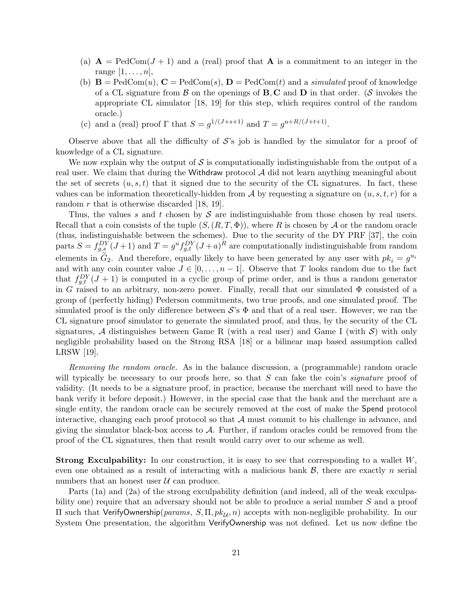- (a)  $\mathbf{A} = \text{PedCom}(J + 1)$  and a (real) proof that  $\mathbf{A}$  is a commitment to an integer in the range  $[1, \ldots, n],$
- (b)  $\mathbf{B} = \text{PedCom}(u)$ ,  $\mathbf{C} = \text{PedCom}(s)$ ,  $\mathbf{D} = \text{PedCom}(t)$  and a simulated proof of knowledge of a CL signature from  $\beta$  on the openings of **B**, **C** and **D** in that order. (S invokes the appropriate CL simulator [18, 19] for this step, which requires control of the random oracle.)
- (c) and a (real) proof  $\Gamma$  that  $S = g^{1/(J+s+1)}$  and  $T = g^{u+R/(J+t+1)}$ .

Observe above that all the difficulty of  $S$ 's job is handled by the simulator for a proof of knowledge of a CL signature.

We now explain why the output of  $\mathcal S$  is computationally indistinguishable from the output of a real user. We claim that during the Withdraw protocol  $A$  did not learn anything meaningful about the set of secrets  $(u, s, t)$  that it signed due to the security of the CL signatures. In fact, these values can be information theoretically-hidden from A by requesting a signature on  $(u, s, t, r)$  for a random r that is otherwise discarded [18, 19].

Thus, the values s and t chosen by  $S$  are indistinguishable from those chosen by real users. Recall that a coin consists of the tuple  $(S,(R,T,\Phi))$ , where R is chosen by A or the random oracle (thus, indistinguishable between the schemes). Due to the security of the DY PRF [37], the coin parts  $S = f_{g,s}^{DY}(J+1)$  and  $T = g^u f_{g,t}^{DY}(J+a)^R$  are computationally indistinguishable from random elements in  $\tilde{G}_2$ . And therefore, equally likely to have been generated by any user with  $pk_i = g^{u_i}$ and with any coin counter value  $J \in [0, \ldots, n-1]$ . Observe that T looks random due to the fact that  $f_{g,t}^{DY}(J+1)$  is computed in a cyclic group of prime order, and is thus a random generator in G raised to an arbitrary, non-zero power. Finally, recall that our simulated  $\Phi$  consisted of a group of (perfectly hiding) Pederson commitments, two true proofs, and one simulated proof. The simulated proof is the only difference between  $\mathcal{S}$ 's  $\Phi$  and that of a real user. However, we ran the CL signature proof simulator to generate the simulated proof, and thus, by the security of the CL signatures, A distinguishes between Game R (with a real user) and Game I (with  $S$ ) with only negligible probability based on the Strong RSA [18] or a bilinear map based assumption called LRSW [19].

Removing the random oracle. As in the balance discussion, a (programmable) random oracle will typically be necessary to our proofs here, so that  $S$  can fake the coin's *signature* proof of validity. (It needs to be a signature proof, in practice, because the merchant will need to have the bank verify it before deposit.) However, in the special case that the bank and the merchant are a single entity, the random oracle can be securely removed at the cost of make the Spend protocol interactive, changing each proof protocol so that  $A$  must commit to his challenge in advance, and giving the simulator black-box access to  $A$ . Further, if random oracles could be removed from the proof of the CL signatures, then that result would carry over to our scheme as well.

**Strong Exculpability:** In our construction, it is easy to see that corresponding to a wallet  $W$ , even one obtained as a result of interacting with a malicious bank  $\mathcal{B}$ , there are exactly n serial numbers that an honest user  $U$  can produce.

Parts (1a) and (2a) of the strong exculpability definition (and indeed, all of the weak exculpability one) require that an adversary should not be able to produce a serial number S and a proof Π such that VerifyOwnership(params, S, Π,  $pk_{\mathcal{U}}$ , n) accepts with non-negligible probability. In our System One presentation, the algorithm VerifyOwnership was not defined. Let us now define the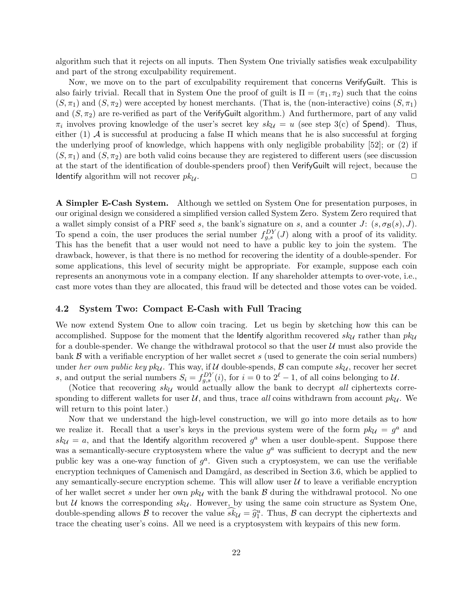algorithm such that it rejects on all inputs. Then System One trivially satisfies weak exculpability and part of the strong exculpability requirement.

Now, we move on to the part of exculpability requirement that concerns VerifyGuilt. This is also fairly trivial. Recall that in System One the proof of guilt is  $\Pi = (\pi_1, \pi_2)$  such that the coins  $(S, \pi_1)$  and  $(S, \pi_2)$  were accepted by honest merchants. (That is, the (non-interactive) coins  $(S, \pi_1)$ and  $(S, \pi_2)$  are re-verified as part of the VerifyGuilt algorithm.) And furthermore, part of any valid  $\pi_i$  involves proving knowledge of the user's secret key  $sk_{\mathcal{U}} = u$  (see step 3(c) of Spend). Thus, either (1) A is successful at producing a false  $\Pi$  which means that he is also successful at forging the underlying proof of knowledge, which happens with only negligible probability [52]; or (2) if  $(S, \pi_1)$  and  $(S, \pi_2)$  are both valid coins because they are registered to different users (see discussion at the start of the identification of double-spenders proof) then VerifyGuilt will reject, because the Identify algorithm will not recover  $pk_{\mathcal{U}}$ .

A Simpler E-Cash System. Although we settled on System One for presentation purposes, in our original design we considered a simplified version called System Zero. System Zero required that a wallet simply consist of a PRF seed s, the bank's signature on s, and a counter J:  $(s, \sigma_{\mathcal{B}}(s), J)$ . To spend a coin, the user produces the serial number  $f_{g,s}^{DY}(J)$  along with a proof of its validity. This has the benefit that a user would not need to have a public key to join the system. The drawback, however, is that there is no method for recovering the identity of a double-spender. For some applications, this level of security might be appropriate. For example, suppose each coin represents an anonymous vote in a company election. If any shareholder attempts to over-vote, i.e., cast more votes than they are allocated, this fraud will be detected and those votes can be voided.

## 4.2 System Two: Compact E-Cash with Full Tracing

We now extend System One to allow coin tracing. Let us begin by sketching how this can be accomplished. Suppose for the moment that the Identify algorithm recovered  $sk_{\mathcal{U}}$  rather than  $pk_{\mathcal{U}}$ for a double-spender. We change the withdrawal protocol so that the user  $U$  must also provide the bank  $\beta$  with a verifiable encryption of her wallet secret s (used to generate the coin serial numbers) under her own public key pk<sub>U</sub>. This way, if U double-spends, B can compute  $sk_{\mathcal{U}}$ , recover her secret s, and output the serial numbers  $S_i = f_{g,s}^{DY}(i)$ , for  $i = 0$  to  $2^{\ell} - 1$ , of all coins belonging to U.

(Notice that recovering  $sk_{\mathcal{U}}$  would actually allow the bank to decrypt all ciphertexts corresponding to different wallets for user  $U$ , and thus, trace all coins withdrawn from account  $pk_{U}$ . We will return to this point later.)

Now that we understand the high-level construction, we will go into more details as to how we realize it. Recall that a user's keys in the previous system were of the form  $pk_{\mathcal{U}} = g^a$  and  $sk_{\mathcal{U}} = a$ , and that the Identify algorithm recovered  $g^a$  when a user double-spent. Suppose there was a semantically-secure cryptosystem where the value  $g<sup>a</sup>$  was sufficient to decrypt and the new public key was a one-way function of  $g^a$ . Given such a cryptosystem, we can use the verifiable encryption techniques of Camenisch and Damgård, as described in Section 3.6, which be applied to any semantically-secure encryption scheme. This will allow user  $\mathcal U$  to leave a verifiable encryption of her wallet secret s under her own  $pk_{\mathcal{U}}$  with the bank  $\mathcal{B}$  during the withdrawal protocol. No one but U knows the corresponding  $sk_{U}$ . However, by using the same coin structure as System One, double-spending allows  $\mathcal{B}$  to recover the value  $\widehat{sk}_\mathcal{U} = \widehat{g}_1^u$ . Thus,  $\mathcal{B}$  can decrypt the ciphertexts and trace the cheating user's coins. All we need is a cryptosystem with keypairs of this new form.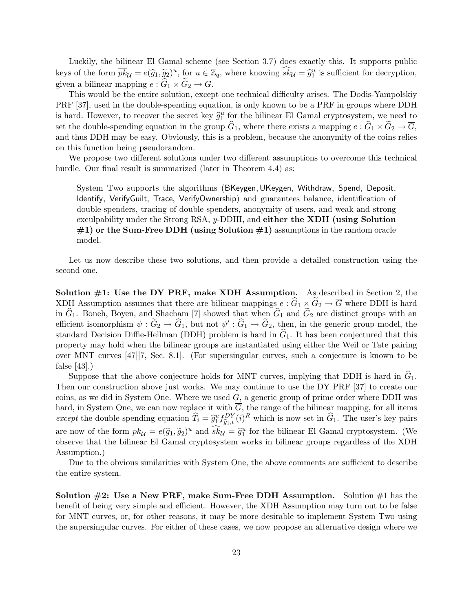Luckily, the bilinear El Gamal scheme (see Section 3.7) does exactly this. It supports public keys of the form  $\overline{pk}_{\mathcal{U}} = e(\widehat{g}_1, \widetilde{g}_2)^u$ , for  $u \in \mathbb{Z}_q$ , where knowing  $\widehat{sk}_{\mathcal{U}} = \widehat{g}_1^u$  is sufficient for decryption, given a bilinear mapping  $e : G_1 \times G_2 \to \overline{G}$ .

This would be the entire solution, except one technical difficulty arises. The Dodis-Yampolskiy PRF [37], used in the double-spending equation, is only known to be a PRF in groups where DDH is hard. However, to recover the secret key  $\hat{g}_1^u$  for the bilinear El Gamal cryptosystem, we need to set the double-spending equation in the group  $\widehat{G}_1$ , where there exists a mapping  $e : \widehat{G}_1 \times \widetilde{G}_2 \to \overline{G}$ , and thus DDH may be easy. Obviously, this is a problem, because the anonymity of the coins relies on this function being pseudorandom.

We propose two different solutions under two different assumptions to overcome this technical hurdle. Our final result is summarized (later in Theorem 4.4) as:

System Two supports the algorithms (BKeygen, UKeygen, Withdraw, Spend, Deposit, Identify, VerifyGuilt, Trace, VerifyOwnership) and guarantees balance, identification of double-spenders, tracing of double-spenders, anonymity of users, and weak and strong exculpability under the Strong RSA, y-DDHI, and either the XDH (using Solution  $\#1$ ) or the Sum-Free DDH (using Solution  $\#1$ ) assumptions in the random oracle model.

Let us now describe these two solutions, and then provide a detailed construction using the second one.

Solution  $#1$ : Use the DY PRF, make XDH Assumption. As described in Section 2, the XDH Assumption assumes that there are bilinear mappings  $e : G_1 \times G_2 \to \overline{G}$  where DDH is hard in  $\hat{G}_1$ . Boneh, Boyen, and Shacham [7] showed that when  $\hat{G}_1$  and  $\tilde{G}_2$  are distinct groups with an efficient isomorphism  $\psi : \tilde{G}_2 \to \hat{G}_1$ , but not  $\psi' : \hat{G}_1 \to \tilde{G}_2$ , then, in the generic group model, the standard Decision Diffie-Hellman (DDH) problem is hard in  $G_1$ . It has been conjectured that this property may hold when the bilinear groups are instantiated using either the Weil or Tate pairing over MNT curves [47][7, Sec. 8.1]. (For supersingular curves, such a conjecture is known to be false [43].)

Suppose that the above conjecture holds for MNT curves, implying that DDH is hard in  $G_1$ . Then our construction above just works. We may continue to use the DY PRF [37] to create our coins, as we did in System One. Where we used  $G$ , a generic group of prime order where DDH was hard, in System One, we can now replace it with  $\overline{G}$ , the range of the bilinear mapping, for all items *except* the double-spending equation  $\hat{T}_i = \hat{g}_1^u f_{\hat{g}_1,t}^{DY}(i)^R$  which is now set in  $\hat{G}_1$ . The user's key pairs are now of the form  $\overline{pk}_{\mathcal{U}} = e(\hat{g}_1, \tilde{g}_2)^u$  and  $\overline{sk}_{\mathcal{U}} = \hat{g}_1^u$  for the bilinear El Gamal cryptosystem. (We observe that the bilinear El Gamal cryptosystem  $\overline{sk}_{\mathcal{U}} = \hat{g}_1^u$  for the bilinear groups observe that the bilinear El Gamal cryptosystem works in bilinear groups regardless of the XDH Assumption.)

Due to the obvious similarities with System One, the above comments are sufficient to describe the entire system.

Solution  $\#2$ : Use a New PRF, make Sum-Free DDH Assumption. Solution  $\#1$  has the benefit of being very simple and efficient. However, the XDH Assumption may turn out to be false for MNT curves, or, for other reasons, it may be more desirable to implement System Two using the supersingular curves. For either of these cases, we now propose an alternative design where we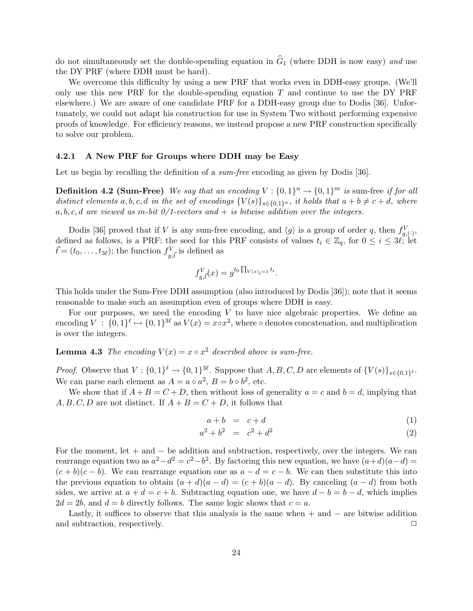do not simultaneously set the double-spending equation in  $\hat{G}_1$  (where DDH is now easy) and use the DY PRF (where DDH must be hard).

We overcome this difficulty by using a new PRF that works even in DDH-easy groups. (We'll only use this new PRF for the double-spending equation  $T$  and continue to use the DY PRF elsewhere.) We are aware of one candidate PRF for a DDH-easy group due to Dodis [36]. Unfortunately, we could not adapt his construction for use in System Two without performing expensive proofs of knowledge. For efficiency reasons, we instead propose a new PRF construction specifically to solve our problem.

#### 4.2.1 A New PRF for Groups where DDH may be Easy

Let us begin by recalling the definition of a *sum-free* encoding as given by Dodis [36].

**Definition 4.2 (Sum-Free)** We say that an encoding  $V : \{0,1\}^n \to \{0,1\}^m$  is sum-free if for all distinct elements a, b, c, d in the set of encodings  ${V(s)}_{s\in\{0,1\}^n}$ , it holds that  $a + b \neq c + d$ , where  $a, b, c, d$  are viewed as m-bit  $0/1$ -vectors and  $+$  is bitwise addition over the integers.

Dodis [36] proved that if V is any sum-free encoding, and  $\langle g \rangle$  is a group of order q, then  $f_{g,(\cdot)}^V$ , defined as follows, is a PRF: the seed for this PRF consists of values  $t_i \in \mathbb{Z}_q$ , for  $0 \leq i \leq 3\ell$ ; let  $\vec{t} = (t_0, \ldots, t_{3\ell});$  the function  $f_{g,\vec{t}}^V$  is defined as

$$
f_{g,\bar{t}}^V(x) = g^{t_0 \prod_{V(x)_i=1} t_i}.
$$

This holds under the Sum-Free DDH assumption (also introduced by Dodis [36]); note that it seems reasonable to make such an assumption even of groups where DDH is easy.

For our purposes, we need the encoding  $V$  to have nice algebraic properties. We define an encoding  $V : \{0,1\}^{\ell} \mapsto \{0,1\}^{3\ell}$  as  $V(x) = x \circ x^2$ , where  $\circ$  denotes concatenation, and multiplication is over the integers.

**Lemma 4.3** The encoding  $V(x) = x \circ x^2$  described above is sum-free.

*Proof.* Observe that  $V: \{0,1\}^{\ell} \to \{0,1\}^{3\ell}$ . Suppose that  $A, B, C, D$  are elements of  $\{V(s)\}_{s\in\{0,1\}^{\ell}}$ . We can parse each element as  $A = a \circ a^2$ ,  $B = b \circ b^2$ , etc.

We show that if  $A + B = C + D$ , then without loss of generality  $a = c$  and  $b = d$ , implying that  $A, B, C, D$  are not distinct. If  $A + B = C + D$ , it follows that

$$
a+b = c+d \tag{1}
$$

$$
a^2 + b^2 = c^2 + d^2 \tag{2}
$$

For the moment, let + and − be addition and subtraction, respectively, over the integers. We can rearrange equation two as  $a^2 - d^2 = c^2 - b^2$ . By factoring this new equation, we have  $(a+d)(a-d) =$  $(c + b)(c - b)$ . We can rearrange equation one as  $a - d = c - b$ . We can then substitute this into the previous equation to obtain  $(a + d)(a - d) = (c + b)(a - d)$ . By canceling  $(a - d)$  from both sides, we arrive at  $a + d = c + b$ . Subtracting equation one, we have  $d - b = b - d$ , which implies  $2d = 2b$ , and  $d = b$  directly follows. The same logic shows that  $c = a$ .

Lastly, it suffices to observe that this analysis is the same when  $+$  and  $-$  are bitwise addition and subtraction, respectively.  $\Box$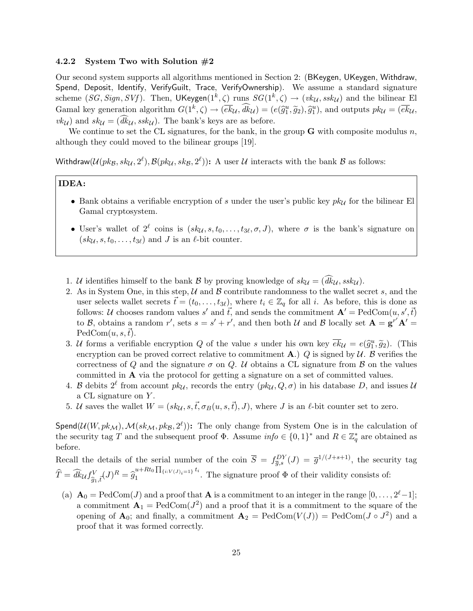#### 4.2.2 System Two with Solution  $#2$

Our second system supports all algorithms mentioned in Section 2: (BKeygen, UKeygen, Withdraw, Spend, Deposit, Identify, VerifyGuilt, Trace, VerifyOwnership). We assume a standard signature scheme  $(SG, Sign, SVf)$ . Then,  ${\sf UKeygen}(1^k,\zeta)$  runs  $SG(1^k,\zeta) \to (vk_{\mathcal{U}},ssk_{\mathcal{U}})$  and the bilinear El Gamal key generation algorithm  $G(1^k, \zeta) \to (\overline{ek}_{\mathcal{U}}, \overline{dk}_{\mathcal{U}}) = (e(\widehat{g}_1^u, \widetilde{g}_2), \widehat{g}_1^u)$ , and outputs  $pk_{\mathcal{U}} = (\overline{ek}_{\mathcal{U}},$  $vk_{\mathcal{U}}$  and  $sk_{\mathcal{U}} = (dk_{\mathcal{U}}, ssk_{\mathcal{U}})$ . The bank's keys are as before.

We continue to set the CL signatures, for the bank, in the group  $\bf{G}$  with composite modulus n, although they could moved to the bilinear groups [19].

Withdraw $(\mathcal{U}(pk_{\mathcal{B}}, sk_{\mathcal{U}}, 2^{\ell}), \mathcal{B}(pk_{\mathcal{U}}, sk_{\mathcal{B}}, 2^{\ell}))$ : A user  $\mathcal U$  interacts with the bank  $\mathcal B$  as follows:

## IDEA:

- Bank obtains a verifiable encryption of s under the user's public key  $pk_{\mathcal{U}}$  for the bilinear El Gamal cryptosystem.
- User's wallet of  $2^{\ell}$  coins is  $(sk_{\ell\ell}, s, t_0, \ldots, t_{3\ell}, \sigma, J)$ , where  $\sigma$  is the bank's signature on  $(sk_{\mathcal{U}}, s, t_0, \ldots, t_{3\ell})$  and J is an  $\ell$ -bit counter.
- 1. *U* identifies himself to the bank *B* by proving knowledge of  $sk_{\mathcal{U}} = (dk_{\mathcal{U}}, ssk_{\mathcal{U}})$ .
- 2. As in System One, in this step,  $\mathcal U$  and  $\mathcal B$  contribute randomness to the wallet secret s, and the user selects wallet secrets  $\vec{t} = (t_0, \ldots, t_{3\ell})$ , where  $t_i \in \mathbb{Z}_q$  for all i. As before, this is done as follows: U chooses random values s' and  $\vec{t}$ , and sends the commitment  $\mathbf{A}' = \text{PedCom}(u, s', \vec{t})$ to B, obtains a random r', sets  $s = s' + r'$ , and then both U and B locally set  $\mathbf{A} = \mathbf{g}^{r'} \mathbf{A}' =$  $PedCom(u, s, t).$
- 3. U forms a verifiable encryption Q of the value s under his own key  $\overline{ek}_{\mathcal{U}} = e(\hat{g}_1^u, \hat{g}_2)$ . (This encryption can be proved correct relative to commitment **A**.) Q is signed by  $U$ . B verifies the correctness of Q and the signature  $\sigma$  on Q. U obtains a CL signature from B on the values committed in A via the protocol for getting a signature on a set of committed values.
- 4. B debits  $2^{\ell}$  from account  $pk_{\mathcal{U}}$ , records the entry  $(pk_{\mathcal{U}}, Q, \sigma)$  in his database D, and issues U a CL signature on Y .
- 5. U saves the wallet  $W = (sk_{\mathcal{U}}, s, \vec{t}, \sigma_B(u, s, \vec{t}), J)$ , where J is an  $\ell$ -bit counter set to zero.

 ${\sf Spend}(\mathcal{U}(W,pk_{\mathcal{M}}),\mathcal{M}(sk_{\mathcal{M}},pk_{\mathcal{B}},2^{\ell}))$ : The only change from System One is in the calculation of the security tag T and the subsequent proof  $\Phi$ . Assume  $info \in \{0,1\}^*$  and  $R \in \mathbb{Z}_q^*$  are obtained as before.

Recall the details of the serial number of the coin  $\overline{S} = f_{\overline{g},s}^{DY}(J) = \overline{g}^{1/(J+s+1)}$ , the security tag  $\widehat{T} = \widehat{dk}_{\mathcal{U}} f^V_{\widehat{g}_1,t}(J)^R = \widehat{g}_1^{u+Rt_0} \prod_{\{i:V(J)_i=1\}} t_i$  $\prod_{i=1}^{n} \sum_{i=1}^{n}$ . The signature proof  $\Phi$  of their validity consists of:

(a)  $\mathbf{A}_0 = \text{PedCom}(J)$  and a proof that  $\mathbf{A}$  is a commitment to an integer in the range  $[0, \ldots, 2^{\ell}-1]$ ; a commitment  $\mathbf{A}_1 = \text{PedCom}(J^2)$  and a proof that it is a commitment to the square of the opening of  $\mathbf{A}_0$ ; and finally, a commitment  $\mathbf{A}_2 = \text{PedCom}(V(J)) = \text{PedCom}(J \circ J^2)$  and a proof that it was formed correctly.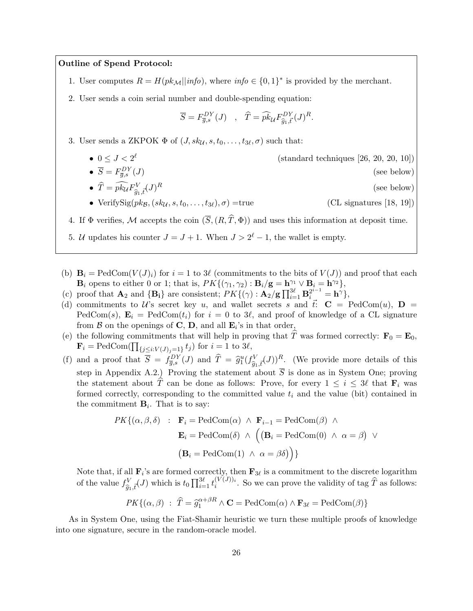## Outline of Spend Protocol:

- 1. User computes  $R = H(pk_{\mathcal{M}}||info)$ , where  $info \in \{0,1\}^*$  is provided by the merchant.
- 2. User sends a coin serial number and double-spending equation:

$$
\overline{S} = F_{\overline{g},s}^{DY}(J) , \quad \widehat{T} = \widehat{pk}_{\mathcal{U}} F_{\widehat{g}_1,\overline{t}}^{DY}(J)^R.
$$

- 3. User sends a ZKPOK  $\Phi$  of  $(J, sk_{\mathcal{U}}, s, t_0, \ldots, t_{3\ell}, \sigma)$  such that:
	- $\bullet\;\, 0\leq J < 2^\ell$ (standard techniques [26, 20, 20, 10])

• 
$$
\overline{S} = F_{\overline{g},s}^{DY}(J)
$$
 (see below)

- $\hat{T} = \hat{pk}_{\mathcal{U}} F^V_{\hat{g}_1, \hat{t}}(J)$  $(see below)$
- VerifySig( $pk_{\mathcal{B}}$ ,  $(sk_{\mathcal{U}}$ ,  $s, t_0, \ldots, t_{3\ell}$ ),  $\sigma$ ) =true (CL signatures [18, 19])

4. If  $\Phi$  verifies, M accepts the coin  $(\overline{S},(R,\widehat{T},\Phi))$  and uses this information at deposit time.

- 5. U updates his counter  $J = J + 1$ . When  $J > 2^{\ell} 1$ , the wallet is empty.
- (b)  $\mathbf{B}_i = \text{PedCom}(V(J)_i)$  for  $i = 1$  to  $3\ell$  (commitments to the bits of  $V(J)$ ) and proof that each  $\mathbf{B}_i$  opens to either 0 or 1; that is,  $PK\{(\gamma_1, \gamma_2) : \mathbf{B}_i/\mathbf{g} = \mathbf{h}^{\gamma_1} \vee \mathbf{B}_i = \mathbf{h}^{\gamma_2}\},$
- (c) proof that  $\mathbf{A}_2$  and  $\{\mathbf{B}_i\}$  are consistent;  $PK\{(\gamma): \mathbf{A}_2/\mathbf{g}\prod_{i=1}^{3\ell} \mathbf{B}_i^{2^{i-1}} = \mathbf{h}^{\gamma}\},$
- (d) commitments to U's secret key u, and wallet secrets s and  $\vec{t}$ :  $\mathbf{C} = \text{PedCom}(u)$ ,  $\mathbf{D} =$ PedCom(s),  $\mathbf{E}_i$  = PedCom(t<sub>i</sub>) for  $i = 0$  to 3 $\ell$ , and proof of knowledge of a CL signature from  $\mathcal B$  on the openings of **C**, **D**, and all  $\mathbf{E}_i$ 's in that order,
- (e) the following commitments that will help in proving that  $\hat{T}$  was formed correctly:  $\mathbf{F}_0 = \mathbf{E}_0$ ,  $\mathbf{F}_i = \text{PedCom}(\prod_{\{j \leq i: V(J)_j = 1\}} t_j)$  for  $i = 1$  to  $3\ell$ ,
- (f) and a proof that  $\overline{S} = f_{\overline{g},s}^{DY}(J)$  and  $\widehat{T} = \widehat{g}_1^u(f_{\widehat{g}_1,\overline{t}}^V(J))^R$ . (We provide more details of this step in Appendix A.2.) Proving the statement about  $\overline{S}$  is done as in System One; proving the statement about  $\hat{T}$  can be done as follows: Prove, for every  $1 \leq i \leq 3\ell$  that  $\mathbf{F}_i$  was formed correctly, corresponding to the committed value  $t_i$  and the value (bit) contained in the commitment  $\mathbf{B}_i$ . That is to say:

$$
PK\{(\alpha, \beta, \delta) : \mathbf{F}_i = \text{PedCom}(\alpha) \land \mathbf{F}_{i-1} = \text{PedCom}(\beta) \land
$$

$$
\mathbf{E}_i = \text{PedCom}(\delta) \land \left( (\mathbf{B}_i = \text{PedCom}(0) \land \alpha = \beta) \lor
$$

$$
(\mathbf{B}_i = \text{PedCom}(1) \land \alpha = \beta \delta) \right)\}
$$

Note that, if all  $\mathbf{F}_i$ 's are formed correctly, then  $\mathbf{F}_{3\ell}$  is a commitment to the discrete logarithm of the value  $f_{\hat{g}_1,\vec{t}}^V(J)$  which is  $t_0 \prod_{i=1}^{3\ell} t_i^{(V(J))_i}$  $i^{(V(J))i}$ . So we can prove the validity of tag T as follows:

$$
PK\{(\alpha,\beta) \ : \ \widehat{T}=\widehat{g}_1^{\alpha+\beta R} \wedge \mathbf{C}=\text{PedCom}(\alpha) \wedge \mathbf{F}_{3\ell}=\text{PedCom}(\beta)\}
$$

As in System One, using the Fiat-Shamir heuristic we turn these multiple proofs of knowledge into one signature, secure in the random-oracle model.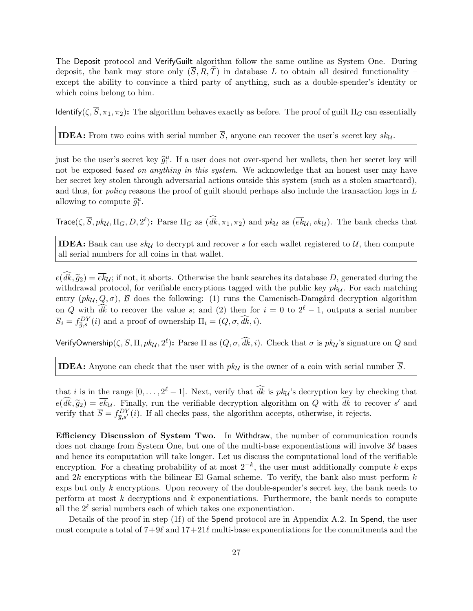The Deposit protocol and VerifyGuilt algorithm follow the same outline as System One. During deposit, the bank may store only  $(\overline{S}, R, T)$  in database L to obtain all desired functionality – except the ability to convince a third party of anything, such as a double-spender's identity or which coins belong to him.

Identify( $\zeta$ ,  $\overline{S}$ ,  $\pi_1$ ,  $\pi_2$ ): The algorithm behaves exactly as before. The proof of guilt  $\Pi_G$  can essentially

**IDEA:** From two coins with serial number  $\overline{S}$ , anyone can recover the user's secret key sky.

just be the user's secret key  $\hat{g}_1^u$ . If a user does not over-spend her wallets, then her secret key will<br>not be expected as a specthing in this sustain. We ask provided that an hencet user may have not be exposed based on anything in this system. We acknowledge that an honest user may have her secret key stolen through adversarial actions outside this system (such as a stolen smartcard), and thus, for policy reasons the proof of guilt should perhaps also include the transaction logs in L allowing to compute  $\widehat{g}_1^u$ .

Trace( $\zeta$ ,  $\overline{S}$ ,  $pk_{\mathcal{U}}$ ,  $\Pi_G$ ,  $D$ ,  $2^{\ell}$ ): Parse  $\Pi_G$  as  $(d\overline{k}, \pi_1, \pi_2)$  and  $pk_{\mathcal{U}}$  as  $(\overline{ek}_{\mathcal{U}}, vk_{\mathcal{U}})$ . The bank checks that

**IDEA:** Bank can use  $sk_{\mathcal{U}}$  to decrypt and recover s for each wallet registered to  $\mathcal{U}$ , then compute all serial numbers for all coins in that wallet.

 $e(dk, \tilde{g}_2) = \overline{ek}_{\mathcal{U}}$ ; if not, it aborts. Otherwise the bank searches its database D, generated during the withdrawal protocol, for verifiable encryptions tagged with the public key  $pk_{\mathcal{U}}$ . For each matching entry  $(pk_{\mathcal{U}}, Q, \sigma)$ , B does the following: (1) runs the Camenisch-Damgård decryption algorithm on Q with  $d\vec{k}$  to recover the value s; and (2) then for  $i = 0$  to  $2^{\ell} - 1$ , outputs a serial number  $\overline{S}_i = f_{\overline{g},s}^{DY}(i)$  and a proof of ownership  $\Pi_i = (Q, \sigma, \overline{dk}, i)$ .

VerifyOwnership $(\zeta, \overline{S}, \Pi, pk_\mathcal{U}, 2^\ell)$ : Parse  $\Pi$  as  $(Q, \sigma, \widehat{dk}, i)$ . Check that  $\sigma$  is  $pk_\mathcal{U}$ 's signature on  $Q$  and

**IDEA:** Anyone can check that the user with  $pk_{\mathcal{U}}$  is the owner of a coin with serial number  $\overline{S}$ .

that *i* is in the range  $[0, \ldots, 2^{\ell} - 1]$ . Next, verify that  $\widehat{dk}$  is  $pk_{\mathcal{U}}$ 's decryption key by checking that  $e(\widehat{dk}, \widetilde{g}_2) = \overline{ek}_{\mathcal{U}}$ . Finally, run the verifiable decryption algorithm on Q with  $\widehat{dk}$  to recover s' and verific that  $\overline{S} = fDY(\lambda)$ . If all shocks negatively algorithm accounts otherwise, it rejects verify that  $\overline{S} = f_{\overline{g},s'}^{DY}(i)$ . If all checks pass, the algorithm accepts, otherwise, it rejects.

Efficiency Discussion of System Two. In Withdraw, the number of communication rounds does not change from System One, but one of the multi-base exponentiations will involve  $3\ell$  bases and hence its computation will take longer. Let us discuss the computational load of the verifiable encryption. For a cheating probability of at most  $2^{-k}$ , the user must additionally compute k exps and  $2k$  encryptions with the bilinear El Gamal scheme. To verify, the bank also must perform  $k$ exps but only k encryptions. Upon recovery of the double-spender's secret key, the bank needs to perform at most  $k$  decryptions and  $k$  exponentiations. Furthermore, the bank needs to compute all the  $2^{\ell}$  serial numbers each of which takes one exponentiation.

Details of the proof in step (1f) of the Spend protocol are in Appendix A.2. In Spend, the user must compute a total of  $7+9\ell$  and  $17+21\ell$  multi-base exponentiations for the commitments and the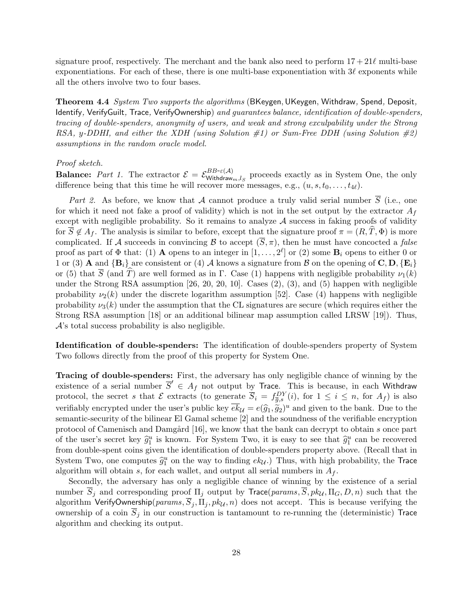signature proof, respectively. The merchant and the bank also need to perform  $17 + 21\ell$  multi-base exponentiations. For each of these, there is one multi-base exponentiation with  $3\ell$  exponents while all the others involve two to four bases.

Theorem 4.4 System Two supports the algorithms (BKeygen, UKeygen, Withdraw, Spend, Deposit, Identify, VerifyGuilt, Trace, VerifyOwnership) and guarantees balance, identification of double-spenders, tracing of double-spenders, anonymity of users, and weak and strong exculpability under the Strong RSA, y-DDHI, and either the XDH (using Solution  $\#1$ ) or Sum-Free DDH (using Solution  $\#2$ ) assumptions in the random oracle model.

#### Proof sketch.

**Balance:** Part 1. The extractor  $\mathcal{E} = \mathcal{E}_{\text{Withoutly}}^{BB-\varepsilon(\mathcal{A})}$  $B_{D}^{DD\in(1)}$  proceeds exactly as in System One, the only difference being that this time he will recover more messages, e.g.,  $(u, s, t_0, \ldots, t_{4\ell}).$ 

Part 2. As before, we know that A cannot produce a truly valid serial number  $\overline{S}$  (i.e., one for which it need not fake a proof of validity) which is not in the set output by the extractor  $A_f$ except with negligible probability. So it remains to analyze  $A$  success in faking proofs of validity for  $\overline{S} \notin A_f$ . The analysis is similar to before, except that the signature proof  $\pi = (R, \hat{T}, \Phi)$  is more complicated. If A succeeds in convincing B to accept  $(\overline{S}, \pi)$ , then he must have concocted a false proof as part of  $\Phi$  that: (1) **A** opens to an integer in  $[1,\ldots,2^{\ell}]$  or (2) some  $\mathbf{B}_i$  opens to either 0 or 1 or (3) **A** and  $\{B_i\}$  are consistent or (4) A knows a signature from B on the opening of C, D,  $\{E_i\}$ or (5) that  $\overline{S}$  (and T) are well formed as in Γ. Case (1) happens with negligible probability  $\nu_1(k)$ under the Strong RSA assumption [26, 20, 20, 10]. Cases (2), (3), and (5) happen with negligible probability  $\nu_2(k)$  under the discrete logarithm assumption [52]. Case (4) happens with negligible probability  $\nu_3(k)$  under the assumption that the CL signatures are secure (which requires either the Strong RSA assumption [18] or an additional bilinear map assumption called LRSW [19]). Thus,  $A$ 's total success probability is also negligible.

Identification of double-spenders: The identification of double-spenders property of System Two follows directly from the proof of this property for System One.

Tracing of double-spenders: First, the adversary has only negligible chance of winning by the existence of a serial number  $\overline{S}' \in A_f$  not output by Trace. This is because, in each Withdraw protocol, the secret s that  $\mathcal E$  extracts (to generate  $\overline{S}_i = f_{\overline{g},s}^{DY}(i)$ , for  $1 \leq i \leq n$ , for  $A_f$ ) is also verifiably encrypted under the user's public key  $\overline{ek}_{\mathcal{U}} = e(\hat{g}_1, \tilde{g}_2)^u$  and given to the bank. Due to the compatible convention semantic-security of the bilinear El Gamal scheme [2] and the soundness of the verifiable encryption protocol of Camenisch and Damgård [16], we know that the bank can decrypt to obtain s once part of the user's secret key  $\hat{g}_1^u$  is known. For System Two, it is easy to see that  $\hat{g}_1^u$  can be recovered<br>from double great seing given the identification of double granders property above. (Begall that in from double-spent coins given the identification of double-spenders property above. (Recall that in System Two, one computes  $\hat{g}_1^u$  on the way to finding  $ek_u$ .) Thus, with high probability, the Trace algorithm will obtain s, for each wallet, and output all serial numbers in  $A_f$ .

Secondly, the adversary has only a negligible chance of winning by the existence of a serial number  $\overline{S}_i$  and corresponding proof  $\Pi_i$  output by  $Trace(params, \overline{S}, p k_{\mathcal{U}}, \Pi_G, D, n)$  such that the algorithm VerifyOwnership( $params$ ,  $\overline{S}_j$ ,  $\Pi_j$ ,  $pk_{\mathcal{U}}$ , n) does not accept. This is because verifying the ownership of a coin  $\overline{S}_j$  in our construction is tantamount to re-running the (deterministic) Trace algorithm and checking its output.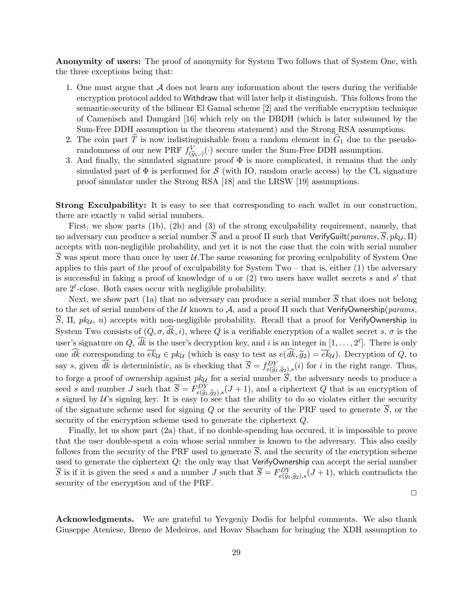Anonymity of users: The proof of anonymity for System Two follows that of System One, with the three exceptions being that:

- 1. One must argue that  $\mathcal A$  does not learn any information about the users during the verifiable encryption protocol added to Withdraw that will later help it distinguish. This follows from the semantic-security of the bilinear El Gamal scheme [2] and the verifiable encryption technique of Camenisch and Damgård [16] which rely on the DBDH (which is later subsumed by the Sum-Free DDH assumption in the theorem statement) and the Strong RSA assumptions.
- 2. The coin part  $\widehat{T}$  is now indistinguishable from a random element in  $\widehat{G}_1$  due to the pseudorandomness of our new PRF  $f_{(\hat{g}_1,\cdot)}^V(\cdot)$  secure under the Sum-Free DDH assumption.<br>And finally the simulated signature proof  $\Phi$  is more complicated it remains that
- 3. And finally, the simulated signature proof  $\Phi$  is more complicated, it remains that the only simulated part of  $\Phi$  is performed for S (with IO, random oracle access) by the CL signature proof simulator under the Strong RSA [18] and the LRSW [19] assumptions.

Strong Exculpability: It is easy to see that corresponding to each wallet in our construction, there are exactly n valid serial numbers.

First, we show parts (1b), (2b) and (3) of the strong exculpability requirement, namely, that no adversary can produce a serial number  $\overline{S}$  and a proof  $\Pi$  such that VerifyGuilt(params,  $\overline{S}$ , pk $\mu$ ,  $\Pi$ ) accepts with non-negligible probability, and yet it is not the case that the coin with serial number S was spent more than once by user  $U$ . The same reasoning for proving eculpability of System One applies to this part of the proof of exculpability for System Two – that is, either  $(1)$  the adversary is successful in faking a proof of knowledge of  $u$  or  $(2)$  two users have wallet secrets  $s$  and  $s'$  that are  $2^{\ell}$ -close. Both cases occur with negligible probability.

Next, we show part (1a) that no adversary can produce a serial number  $\overline{S}$  that does not belong to the set of serial numbers of the U known to A, and a proof  $\Pi$  such that VerifyOwnership(params,  $\overline{S}$ ,  $\Pi$ ,  $pk_{\mathcal{U}}$ , n) accepts with non-negligible probability. Recall that a proof for VerifyOwnership in System Two consists of  $(Q, \sigma, \widehat{dk}, i)$ , where Q is a verifiable encryption of a wallet secret s,  $\sigma$  is the user's signature on Q,  $\widehat{dk}$  is the user's decryption key, and i is an integer in  $[1, \ldots, 2^{\ell}]$ . There is only one  $\widehat{dk}$  corresponding to  $\overline{ek}_{\mathcal{U}} \in pk_{\mathcal{U}}$  (which is easy to test as  $e(\widehat{dk}, \widetilde{g}_2) = \overline{ek}_{\mathcal{U}}$ ). Decryption of Q, to say s, given  $\widehat{dk}$  is deterministic, as is checking that  $\overline{S} = f_{e(\widehat{g}_1, \widetilde{g}_2), s}^{DY}(i)$  for i in the right range. Thus, to forge a proof of ownership against  $pk_{\mathcal{U}}$  for a serial number S, the adversary needs to produce a seed s and number J such that  $\overline{S} = F_{e(\widehat{g}_1,\widetilde{g}_2),s}^{DY}(J+1)$ , and a ciphertext Q that is an encryption of s signed by  $U$ 's signing key. It is easy to see that the ability to do so violates either the security of the signature scheme used for signing Q or the security of the PRF used to generate  $\overline{S}$ , or the security of the encryption scheme used to generate the ciphertext  $Q$ .

Finally, let us show part (2a) that, if no double-spending has occured, it is impossible to prove that the user double-spent a coin whose serial number is known to the adversary. This also easily follows from the security of the PRF used to generate  $\overline{S}$ , and the security of the encryption scheme used to generate the ciphertext Q: the only way that VerifyOwnership can accept the serial number  $\overline{S}$  is if it is given the seed s and a number J such that  $\overline{S} = F_{e(\widehat{g}_1, \widetilde{g}_2),s}^{DY}(J+1)$ , which contradicts the security of the encryption and of the PRF security of the encryption and of the PRF.

 $\Box$ 

Acknowledgments. We are grateful to Yevgeniy Dodis for helpful comments. We also thank Giuseppe Ateniese, Breno de Medeiros, and Hovav Shacham for bringing the XDH assumption to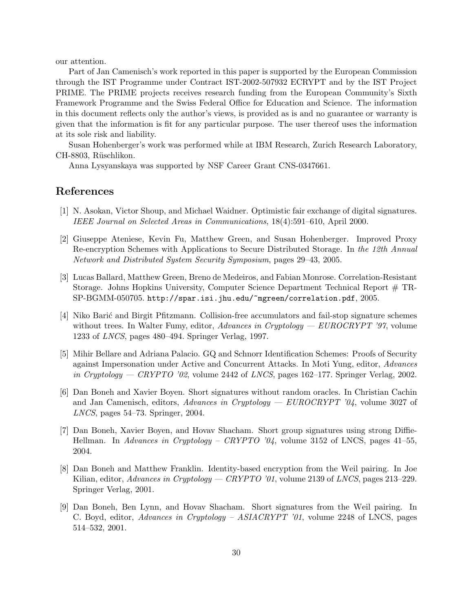our attention.

Part of Jan Camenisch's work reported in this paper is supported by the European Commission through the IST Programme under Contract IST-2002-507932 ECRYPT and by the IST Project PRIME. The PRIME projects receives research funding from the European Community's Sixth Framework Programme and the Swiss Federal Office for Education and Science. The information in this document reflects only the author's views, is provided as is and no guarantee or warranty is given that the information is fit for any particular purpose. The user thereof uses the information at its sole risk and liability.

Susan Hohenberger's work was performed while at IBM Research, Zurich Research Laboratory, CH-8803, Rüschlikon.

Anna Lysyanskaya was supported by NSF Career Grant CNS-0347661.

# References

- [1] N. Asokan, Victor Shoup, and Michael Waidner. Optimistic fair exchange of digital signatures. IEEE Journal on Selected Areas in Communications, 18(4):591–610, April 2000.
- [2] Giuseppe Ateniese, Kevin Fu, Matthew Green, and Susan Hohenberger. Improved Proxy Re-encryption Schemes with Applications to Secure Distributed Storage. In the 12th Annual Network and Distributed System Security Symposium, pages 29–43, 2005.
- [3] Lucas Ballard, Matthew Green, Breno de Medeiros, and Fabian Monrose. Correlation-Resistant Storage. Johns Hopkins University, Computer Science Department Technical Report # TR-SP-BGMM-050705. http://spar.isi.jhu.edu/~mgreen/correlation.pdf, 2005.
- [4] Niko Bari´c and Birgit Pfitzmann. Collision-free accumulators and fail-stop signature schemes without trees. In Walter Fumy, editor,  $Advances$  in Cryptology  $-$  EUROCRYPT '97, volume 1233 of LNCS, pages 480–494. Springer Verlag, 1997.
- [5] Mihir Bellare and Adriana Palacio. GQ and Schnorr Identification Schemes: Proofs of Security against Impersonation under Active and Concurrent Attacks. In Moti Yung, editor, Advances in Cryptology — CRYPTO '02, volume 2442 of LNCS, pages  $162-177$ . Springer Verlag, 2002.
- [6] Dan Boneh and Xavier Boyen. Short signatures without random oracles. In Christian Cachin and Jan Camenisch, editors, Advances in Cryptology —  $EUROCRYPT$  '04, volume 3027 of LNCS, pages 54–73. Springer, 2004.
- [7] Dan Boneh, Xavier Boyen, and Hovav Shacham. Short group signatures using strong Diffie-Hellman. In Advances in Cryptology – CRYPTO '04, volume 3152 of LNCS, pages 41–55, 2004.
- [8] Dan Boneh and Matthew Franklin. Identity-based encryption from the Weil pairing. In Joe Kilian, editor, Advances in Cryptology — CRYPTO '01, volume 2139 of LNCS, pages 213–229. Springer Verlag, 2001.
- [9] Dan Boneh, Ben Lynn, and Hovav Shacham. Short signatures from the Weil pairing. In C. Boyd, editor, Advances in Cryptology – ASIACRYPT '01, volume 2248 of LNCS, pages 514–532, 2001.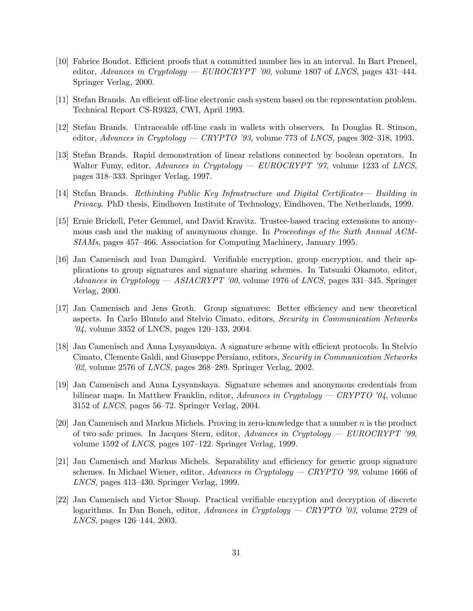- [10] Fabrice Boudot. Efficient proofs that a committed number lies in an interval. In Bart Preneel, editor, Advances in Cryptology — EUROCRYPT '00, volume 1807 of LNCS, pages 431-444. Springer Verlag, 2000.
- [11] Stefan Brands. An efficient off-line electronic cash system based on the representation problem. Technical Report CS-R9323, CWI, April 1993.
- [12] Stefan Brands. Untraceable off-line cash in wallets with observers. In Douglas R. Stinson, editor, Advances in Cryptology — CRYPTO '93, volume 773 of LNCS, pages 302–318, 1993.
- [13] Stefan Brands. Rapid demonstration of linear relations connected by boolean operators. In Walter Fumy, editor, Advances in Cryptology — EUROCRYPT '97, volume 1233 of LNCS, pages 318–333. Springer Verlag, 1997.
- [14] Stefan Brands. Rethinking Public Key Infrastructure and Digital Certificates— Building in Privacy. PhD thesis, Eindhoven Institute of Technology, Eindhoven, The Netherlands, 1999.
- [15] Ernie Brickell, Peter Gemmel, and David Kravitz. Trustee-based tracing extensions to anonymous cash and the making of anonymous change. In Proceedings of the Sixth Annual ACM-SIAMs, pages 457–466. Association for Computing Machinery, January 1995.
- [16] Jan Camenisch and Ivan Damgård. Verifiable encryption, group encryption, and their applications to group signatures and signature sharing schemes. In Tatsuaki Okamoto, editor, Advances in Cryptology  $-$  ASIACRYPT '00, volume 1976 of LNCS, pages 331–345. Springer Verlag, 2000.
- [17] Jan Camenisch and Jens Groth. Group signatures: Better efficiency and new theoretical aspects. In Carlo Blundo and Stelvio Cimato, editors, Security in Communication Networks '04, volume 3352 of LNCS, pages 120–133, 2004.
- [18] Jan Camenisch and Anna Lysyanskaya. A signature scheme with efficient protocols. In Stelvio Cimato, Clemente Galdi, and Giuseppe Persiano, editors, Security in Communication Networks '02, volume 2576 of LNCS, pages 268–289. Springer Verlag, 2002.
- [19] Jan Camenisch and Anna Lysyanskaya. Signature schemes and anonymous credentials from bilinear maps. In Matthew Franklin, editor, Advances in Cryptology — CRYPTO '04, volume 3152 of LNCS, pages 56–72. Springer Verlag, 2004.
- [20] Jan Camenisch and Markus Michels. Proving in zero-knowledge that a number  $n$  is the product of two safe primes. In Jacques Stern, editor, Advances in Cryptology —  $EUROCRYPT'$  '99, volume 1592 of LNCS, pages 107–122. Springer Verlag, 1999.
- [21] Jan Camenisch and Markus Michels. Separability and efficiency for generic group signature schemes. In Michael Wiener, editor, Advances in Cryptology — CRYPTO '99, volume 1666 of LNCS, pages 413–430. Springer Verlag, 1999.
- [22] Jan Camenisch and Victor Shoup. Practical verifiable encryption and decryption of discrete logarithms. In Dan Boneh, editor, Advances in Cryptology — CRYPTO '03, volume 2729 of LNCS, pages 126–144, 2003.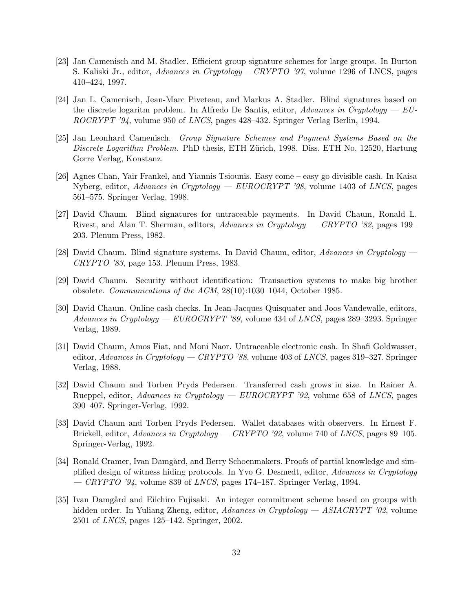- [23] Jan Camenisch and M. Stadler. Efficient group signature schemes for large groups. In Burton S. Kaliski Jr., editor, Advances in Cryptology – CRYPTO '97, volume 1296 of LNCS, pages 410–424, 1997.
- [24] Jan L. Camenisch, Jean-Marc Piveteau, and Markus A. Stadler. Blind signatures based on the discrete logaritm problem. In Alfredo De Santis, editor, Advances in Cryptology  $-EU$ -ROCRYPT '94, volume 950 of LNCS, pages 428–432. Springer Verlag Berlin, 1994.
- [25] Jan Leonhard Camenisch. Group Signature Schemes and Payment Systems Based on the Discrete Logarithm Problem. PhD thesis, ETH Zürich, 1998. Diss. ETH No. 12520, Hartung Gorre Verlag, Konstanz.
- [26] Agnes Chan, Yair Frankel, and Yiannis Tsiounis. Easy come easy go divisible cash. In Kaisa Nyberg, editor, Advances in Cryptology — EUROCRYPT '98, volume 1403 of LNCS, pages 561–575. Springer Verlag, 1998.
- [27] David Chaum. Blind signatures for untraceable payments. In David Chaum, Ronald L. Rivest, and Alan T. Sherman, editors, Advances in Cryptology — CRYPTO '82, pages 199– 203. Plenum Press, 1982.
- [28] David Chaum. Blind signature systems. In David Chaum, editor, Advances in Cryptology CRYPTO '83, page 153. Plenum Press, 1983.
- [29] David Chaum. Security without identification: Transaction systems to make big brother obsolete. Communications of the ACM, 28(10):1030–1044, October 1985.
- [30] David Chaum. Online cash checks. In Jean-Jacques Quisquater and Joos Vandewalle, editors, Advances in Cryptology — EUROCRYPT '89, volume 434 of LNCS, pages 289–3293. Springer Verlag, 1989.
- [31] David Chaum, Amos Fiat, and Moni Naor. Untraceable electronic cash. In Shafi Goldwasser, editor, Advances in Cryptology — CRYPTO '88, volume 403 of LNCS, pages 319–327. Springer Verlag, 1988.
- [32] David Chaum and Torben Pryds Pedersen. Transferred cash grows in size. In Rainer A. Rueppel, editor, Advances in Cryptology — EUROCRYPT '92, volume 658 of LNCS, pages 390–407. Springer-Verlag, 1992.
- [33] David Chaum and Torben Pryds Pedersen. Wallet databases with observers. In Ernest F. Brickell, editor, *Advances in Cryptology — CRYPTO '92*, volume 740 of *LNCS*, pages 89–105. Springer-Verlag, 1992.
- [34] Ronald Cramer, Ivan Damgård, and Berry Schoenmakers. Proofs of partial knowledge and simplified design of witness hiding protocols. In Yvo G. Desmedt, editor, Advances in Cryptology  $-CRYPTO$  '94, volume 839 of LNCS, pages 174–187. Springer Verlag, 1994.
- [35] Ivan Damgård and Eiichiro Fujisaki. An integer commitment scheme based on groups with hidden order. In Yuliang Zheng, editor, Advances in Cryptology — ASIACRYPT '02, volume 2501 of LNCS, pages 125–142. Springer, 2002.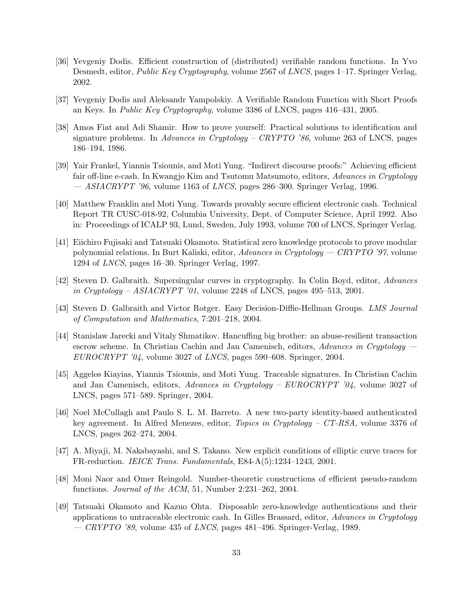- [36] Yevgeniy Dodis. Efficient construction of (distributed) verifiable random functions. In Yvo Desmedt, editor, Public Key Cryptography, volume 2567 of LNCS, pages 1–17. Springer Verlag, 2002.
- [37] Yevgeniy Dodis and Aleksandr Yampolskiy. A Verifiable Random Function with Short Proofs an Keys. In Public Key Cryptography, volume 3386 of LNCS, pages 416–431, 2005.
- [38] Amos Fiat and Adi Shamir. How to prove yourself: Practical solutions to identification and signature problems. In Advances in Cryptology – CRYPTO '86, volume 263 of LNCS, pages 186–194, 1986.
- [39] Yair Frankel, Yiannis Tsiounis, and Moti Yung. "Indirect discourse proofs:" Achieving efficient fair off-line e-cash. In Kwangjo Kim and Tsutomu Matsumoto, editors, Advances in Cryptology  $-$  ASIACRYPT '96, volume 1163 of LNCS, pages 286–300. Springer Verlag, 1996.
- [40] Matthew Franklin and Moti Yung. Towards provably secure efficient electronic cash. Technical Report TR CUSC-018-92, Columbia University, Dept. of Computer Science, April 1992. Also in: Proceedings of ICALP 93, Lund, Sweden, July 1993, volume 700 of LNCS, Springer Verlag.
- [41] Eiichiro Fujisaki and Tatsuaki Okamoto. Statistical zero knowledge protocols to prove modular polynomial relations. In Burt Kaliski, editor, Advances in Cryptology — CRYPTO '97, volume 1294 of LNCS, pages 16–30. Springer Verlag, 1997.
- [42] Steven D. Galbraith. Supersingular curves in cryptography. In Colin Boyd, editor, Advances in Cryptology – ASIACRYPT '01, volume 2248 of LNCS, pages 495–513, 2001.
- [43] Steven D. Galbraith and Victor Rotger. Easy Decision-Diffie-Hellman Groups. LMS Journal of Computation and Mathematics, 7:201–218, 2004.
- [44] Stanislaw Jarecki and Vitaly Shmatikov. Hancuffing big brother: an abuse-resilient transaction escrow scheme. In Christian Cachin and Jan Camenisch, editors,  $Advances$  in Cryptology — EUROCRYPT '04, volume 3027 of LNCS, pages 590–608. Springer, 2004.
- [45] Aggelos Kiayias, Yiannis Tsiounis, and Moti Yung. Traceable signatures. In Christian Cachin and Jan Camenisch, editors, Advances in Cryptology – EUROCRYPT '04, volume 3027 of LNCS, pages 571–589. Springer, 2004.
- [46] Noel McCullagh and Paulo S. L. M. Barreto. A new two-party identity-based authenticated key agreement. In Alfred Menezes, editor, Topics in Cryptology – CT-RSA, volume 3376 of LNCS, pages 262–274, 2004.
- [47] A. Miyaji, M. Nakabayashi, and S. Takano. New explicit conditions of elliptic curve traces for FR-reduction. IEICE Trans. Fundamentals, E84-A(5):1234–1243, 2001.
- [48] Moni Naor and Omer Reingold. Number-theoretic constructions of efficient pseudo-random functions. Journal of the ACM, 51, Number 2:231–262, 2004.
- [49] Tatsuaki Okamoto and Kazuo Ohta. Disposable zero-knowledge authentications and their applications to untraceable electronic cash. In Gilles Brassard, editor, Advances in Cryptology  $-CRYPTO$  '89, volume 435 of *LNCS*, pages 481–496. Springer-Verlag, 1989.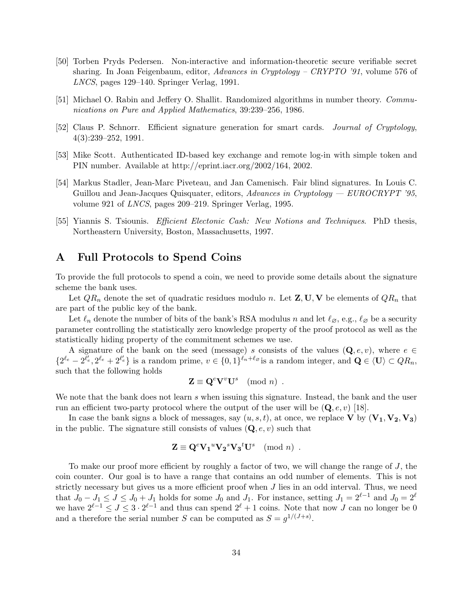- [50] Torben Pryds Pedersen. Non-interactive and information-theoretic secure verifiable secret sharing. In Joan Feigenbaum, editor, Advances in Cryptology – CRYPTO '91, volume 576 of LNCS, pages 129–140. Springer Verlag, 1991.
- [51] Michael O. Rabin and Jeffery O. Shallit. Randomized algorithms in number theory. Communications on Pure and Applied Mathematics, 39:239–256, 1986.
- [52] Claus P. Schnorr. Efficient signature generation for smart cards. Journal of Cryptology, 4(3):239–252, 1991.
- [53] Mike Scott. Authenticated ID-based key exchange and remote log-in with simple token and PIN number. Available at http://eprint.iacr.org/2002/164, 2002.
- [54] Markus Stadler, Jean-Marc Piveteau, and Jan Camenisch. Fair blind signatures. In Louis C. Guillou and Jean-Jacques Quisquater, editors,  $Advances$  in Cryptology —  $EUROCRYPT$  '95, volume 921 of LNCS, pages 209–219. Springer Verlag, 1995.
- [55] Yiannis S. Tsiounis. Efficient Electonic Cash: New Notions and Techniques. PhD thesis, Northeastern University, Boston, Massachusetts, 1997.

# A Full Protocols to Spend Coins

To provide the full protocols to spend a coin, we need to provide some details about the signature scheme the bank uses.

Let  $QR_n$  denote the set of quadratic residues modulo n. Let **Z**, **U**, **V** be elements of  $QR_n$  that are part of the public key of the bank.

Let  $\ell_n$  denote the number of bits of the bank's RSA modulus n and let  $\ell_{\varnothing}$ , e.g.,  $\ell_{\varnothing}$  be a security parameter controlling the statistically zero knowledge property of the proof protocol as well as the statistically hiding property of the commitment schemes we use.

A signature of the bank on the seed (message) s consists of the values  $(Q, e, v)$ , where  $e \in$  $\{2^{\ell_e} - 2^{\overline{\ell}'_e}, 2^{\ell_e} + 2^{\ell'_e}\}\$ is a random prime,  $v \in \{0, 1\}^{\ell'_n + \ell_\varnothing}$ is a random integer, and  $\mathbf{Q} \in \langle \mathbf{U} \rangle \subset QR_n$ , such that the following holds

$$
\mathbf{Z} \equiv \mathbf{Q}^e \mathbf{V}^v \mathbf{U}^s \pmod{n} .
$$

We note that the bank does not learn s when issuing this signature. Instead, the bank and the user run an efficient two-party protocol where the output of the user will be  $(Q, e, v)$  [18].

In case the bank signs a block of messages, say  $(u, s, t)$ , at once, we replace V by  $(V_1, V_2, V_3)$ in the public. The signature still consists of values  $(Q, e, v)$  such that

$$
\mathbf{Z} \equiv \mathbf{Q}^e \mathbf{V_1}^u \mathbf{V_2}^s \mathbf{V_3}^t \mathbf{U}^s \pmod{n} .
$$

To make our proof more efficient by roughly a factor of two, we will change the range of  $J$ , the coin counter. Our goal is to have a range that contains an odd number of elements. This is not strictly necessary but gives us a more efficient proof when J lies in an odd interval. Thus, we need that  $J_0 - J_1 \leq J \leq J_0 + J_1$  holds for some  $J_0$  and  $J_1$ . For instance, setting  $J_1 = 2^{\ell-1}$  and  $J_0 = 2^{\ell}$ we have  $2^{\ell-1} \leq J \leq 3 \cdot 2^{\ell-1}$  and thus can spend  $2^{\ell}+1$  coins. Note that now J can no longer be 0 and a therefore the serial number S can be computed as  $S = g^{1/(J+s)}$ .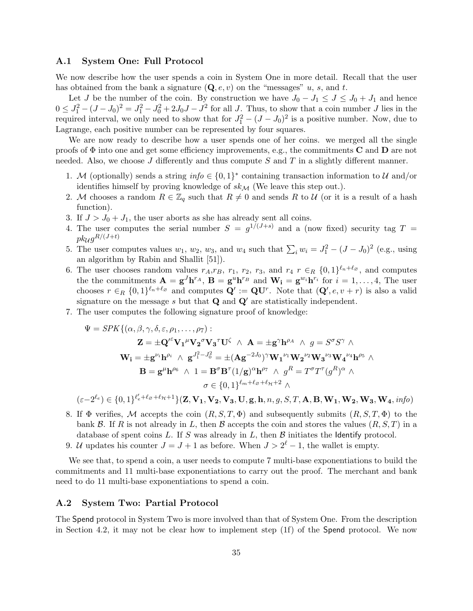## A.1 System One: Full Protocol

We now describe how the user spends a coin in System One in more detail. Recall that the user has obtained from the bank a signature  $(Q, e, v)$  on the "messages" u, s, and t.

Let J be the number of the coin. By construction we have  $J_0 - J_1 \leq J \leq J_0 + J_1$  and hence  $0 \leq J_1^2 - (J - J_0)^2 = J_1^2 - J_0^2 + 2J_0J - J^2$  for all J. Thus, to show that a coin number J lies in the required interval, we only need to show that for  $J_1^2 - (J - J_0)^2$  is a positive number. Now, due to Lagrange, each positive number can be represented by four squares.

We are now ready to describe how a user spends one of her coins. we merged all the single proofs of  $\Phi$  into one and get some efficiency improvements, e.g., the commitments **C** and **D** are not needed. Also, we choose  $J$  differently and thus compute  $S$  and  $T$  in a slightly different manner.

- 1. M (optionally) sends a string  $info \in \{0,1\}^*$  containing transaction information to U and/or identifies himself by proving knowledge of  $sk_{\mathcal{M}}$  (We leave this step out.).
- 2. M chooses a random  $R \in \mathbb{Z}_q$  such that  $R \neq 0$  and sends R to U (or it is a result of a hash function).
- 3. If  $J > J_0 + J_1$ , the user aborts as she has already sent all coins.
- 4. The user computes the serial number  $S = g^{1/(J+s)}$  and a (now fixed) security tag T =  $pk_{\mathcal{U}}g^{R/(J+t)}$
- 5. The user computes values  $w_1, w_2, w_3$ , and  $w_4$  such that  $\sum_i w_i = J_1^2 (J J_0)^2$  (e.g., using an algorithm by Rabin and Shallit [51]).
- 6. The user chooses random values  $r_A, r_B, r_1, r_2, r_3$ , and  $r_4$   $r \in_R \{0,1\}^{\ell_n+\ell_{\varnothing}}$ , and computes the the commitments  $\mathbf{A} = \mathbf{g}^J \mathbf{h}^{r_A}$ ,  $\mathbf{B} = \mathbf{g}^u \mathbf{h}^{r_B}$  and  $\mathbf{W}_i = \mathbf{g}^{w_i} \mathbf{h}^{r_i}$  for  $i = 1, ..., 4$ , The user chooses  $r \in_R \{0,1\}^{\ell_n+\ell_{\varnothing}}$  and computes  $\mathbf{Q}' := \mathbf{Q}\mathbf{U}^r$ . Note that  $(\mathbf{Q}', e, v+r)$  is also a valid signature on the message s but that  $Q$  and  $Q'$  are statistically independent.
- 7. The user computes the following signature proof of knowledge:

$$
\Psi = SPK\{(\alpha, \beta, \gamma, \delta, \varepsilon, \rho_1, \dots, \rho_7) : \mathbf{Z} = \pm \mathbf{Q}'^{\varepsilon} \mathbf{V}_1{}^{\mu} \mathbf{V}_2{}^{\sigma} \mathbf{V}_3{}^{\tau} \mathbf{U}^{\zeta} \ \wedge \ \mathbf{A} = \pm \mathbf{g}^{\gamma} \mathbf{h}^{\rho_A} \ \wedge \ g = S^{\sigma} S^{\gamma} \ \wedge \n\mathbf{W}_i = \pm \mathbf{g}^{\nu_i} \mathbf{h}^{\rho_i} \ \wedge \ \mathbf{g}^{J_1^2 - J_0^2} = \pm (\mathbf{A} \mathbf{g}^{-2J_0})^{\gamma} \mathbf{W}_1{}^{\nu_1} \mathbf{W}_2{}^{\nu_2} \mathbf{W}_3{}^{\nu_3} \mathbf{W}_4{}^{\nu_4} \mathbf{h}^{\rho_5} \ \wedge \n\mathbf{B} = \mathbf{g}^{\mu} \mathbf{h}^{\rho_6} \ \wedge \ 1 = \mathbf{B}^{\sigma} \mathbf{B}^{\tau} (1/\mathbf{g})^{\alpha} \mathbf{h}^{\rho_7} \ \wedge \ g^R = T^{\sigma} T^{\tau} (g^R)^{\alpha} \ \wedge \n\sigma \in \{0, 1\}^{\ell_m + \ell_{\varnothing} + \ell_{\gamma} + 2} \ \wedge
$$

$$
(\varepsilon - 2^{\ell_e}) \in \{0, 1\}^{\ell'_e + \ell_{\varnothing} + \ell_{\mathcal{H}} + 1} \} (\mathbf{Z}, \mathbf{V_1}, \mathbf{V_2}, \mathbf{V_3}, \mathbf{U}, \mathbf{g}, \mathbf{h}, n, g, S, T, \mathbf{A}, \mathbf{B}, \mathbf{W_1}, \mathbf{W_2}, \mathbf{W_3}, \mathbf{W_4}, \text{info})
$$

- 8. If  $\Phi$  verifies, M accepts the coin  $(R, S, T, \Phi)$  and subsequently submits  $(R, S, T, \Phi)$  to the bank B. If R is not already in L, then B accepts the coin and stores the values  $(R, S, T)$  in a database of spent coins L. If S was already in L, then  $\beta$  initiates the Identify protocol.
- 9. U updates his counter  $J = J + 1$  as before. When  $J > 2^{\ell} 1$ , the wallet is empty.

We see that, to spend a coin, a user needs to compute 7 multi-base exponentiations to build the commitments and 11 multi-base exponentiations to carry out the proof. The merchant and bank need to do 11 multi-base exponentiations to spend a coin.

#### A.2 System Two: Partial Protocol

The Spend protocol in System Two is more involved than that of System One. From the description in Section 4.2, it may not be clear how to implement step (1f) of the Spend protocol. We now